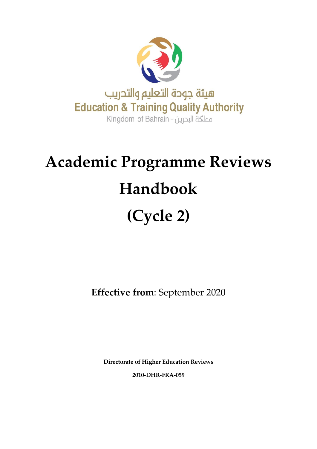

# **Academic Programme Reviews Handbook (Cycle 2)**

**Effective from**: September 2020

**Directorate of Higher Education Reviews 2010-DHR-FRA-059**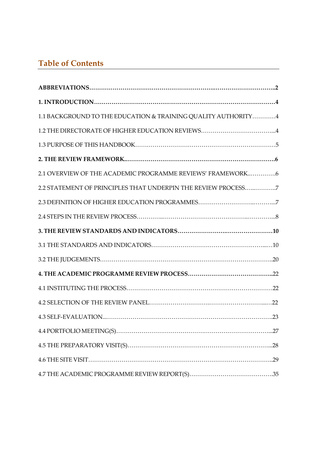# **Table of Contents**

| 1.1 BACKGROUND TO THE EDUCATION & TRAINING QUALITY AUTHORITY4 |
|---------------------------------------------------------------|
| 1.2 THE DIRECTORATE OF HIGHER EDUCATION REVIEWS4              |
|                                                               |
|                                                               |
| 2.1 OVERVIEW OF THE ACADEMIC PROGRAMME REVIEWS' FRAMEWORK6    |
| 2.2 STATEMENT OF PRINCIPLES THAT UNDERPIN THE REVIEW PROCESS7 |
|                                                               |
|                                                               |
|                                                               |
|                                                               |
|                                                               |
|                                                               |
|                                                               |
|                                                               |
|                                                               |
|                                                               |
|                                                               |
|                                                               |
|                                                               |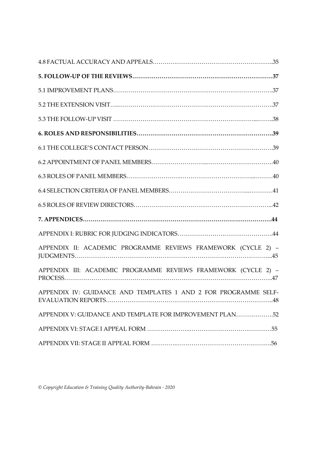| APPENDIX II: ACADEMIC PROGRAMME REVIEWS FRAMEWORK (CYCLE 2) -   |
|-----------------------------------------------------------------|
| APPENDIX III: ACADEMIC PROGRAMME REVIEWS FRAMEWORK (CYCLE 2) -  |
| APPENDIX IV: GUIDANCE AND TEMPLATES 1 AND 2 FOR PROGRAMME SELF- |
| APPENDIX V: GUIDANCE AND TEMPLATE FOR IMPROVEMENT PLAN52        |
|                                                                 |
|                                                                 |

*© Copyright Education & Training Quality Authority-Bahrain - 2020*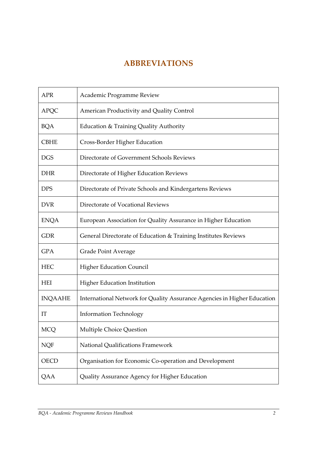# **ABBREVIATIONS**

<span id="page-3-0"></span>

| <b>APR</b>     | Academic Programme Review                                                |
|----------------|--------------------------------------------------------------------------|
| <b>APQC</b>    | American Productivity and Quality Control                                |
| <b>BQA</b>     | Education & Training Quality Authority                                   |
| <b>CBHE</b>    | Cross-Border Higher Education                                            |
| <b>DGS</b>     | Directorate of Government Schools Reviews                                |
| <b>DHR</b>     | Directorate of Higher Education Reviews                                  |
| <b>DPS</b>     | Directorate of Private Schools and Kindergartens Reviews                 |
| <b>DVR</b>     | Directorate of Vocational Reviews                                        |
| <b>ENQA</b>    | European Association for Quality Assurance in Higher Education           |
| <b>GDR</b>     | General Directorate of Education & Training Institutes Reviews           |
| <b>GPA</b>     | <b>Grade Point Average</b>                                               |
| <b>HEC</b>     | <b>Higher Education Council</b>                                          |
| <b>HEI</b>     | <b>Higher Education Institution</b>                                      |
| <b>INQAAHE</b> | International Network for Quality Assurance Agencies in Higher Education |
| IT             | <b>Information Technology</b>                                            |
| <b>MCQ</b>     | Multiple Choice Question                                                 |
| <b>NQF</b>     | National Qualifications Framework                                        |
| <b>OECD</b>    | Organisation for Economic Co-operation and Development                   |
| QAA            | Quality Assurance Agency for Higher Education                            |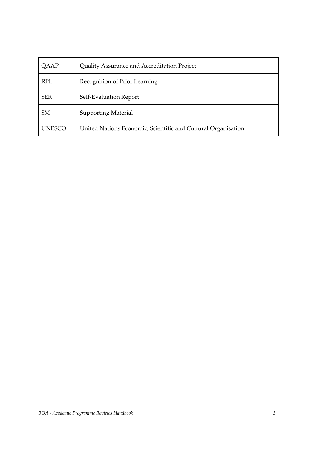| QAAP          | Quality Assurance and Accreditation Project                   |
|---------------|---------------------------------------------------------------|
| <b>RPL</b>    | Recognition of Prior Learning                                 |
| <b>SER</b>    | Self-Evaluation Report                                        |
| <b>SM</b>     | <b>Supporting Material</b>                                    |
| <b>UNESCO</b> | United Nations Economic, Scientific and Cultural Organisation |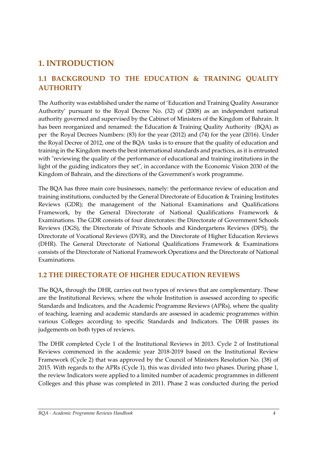# <span id="page-5-0"></span>**1. INTRODUCTION**

# <span id="page-5-1"></span>**1.1 BACKGROUND TO THE EDUCATION & TRAINING QUALITY AUTHORITY**

The Authority was established under the name of 'Education and Training Quality Assurance Authority' pursuant to the Royal Decree No. (32) of (2008) as an independent national authority governed and supervised by the Cabinet of Ministers of the Kingdom of Bahrain. It has been reorganized and renamed: the Education & Training Quality Authority (BQA) as per the Royal Decrees Numbers: (83) for the year (2012) and (74) for the year (2016). Under the Royal Decree of 2012, one of the BQA tasks is to ensure that the quality of education and training in the Kingdom meets the best international standards and practices, as it is entrusted with "reviewing the quality of the performance of educational and training institutions in the light of the guiding indicators they set", in accordance with the Economic Vision 2030 of the Kingdom of Bahrain, and the directions of the Government's work programme.

The BQA has three main core businesses, namely: the performance review of education and training institutions, conducted by the General Directorate of Education & Training Institutes Reviews (GDR); the management of the National Examinations and Qualifications Framework, by the General Directorate of National Qualifications Framework & Examinations. The GDR consists of four directorates: the Directorate of Government Schools Reviews (DGS), the Directorate of Private Schools and Kindergartens Reviews (DPS), the Directorate of Vocational Reviews (DVR), and the Directorate of Higher Education Reviews (DHR). The General Directorate of National Qualifications Framework & Examinations consists of the Directorate of National Framework Operations and the Directorate of National Examinations.

## <span id="page-5-2"></span>**1.2 THE DIRECTORATE OF HIGHER EDUCATION REVIEWS**

The BQA**,** through the DHR, carries out two types of reviews that are complementary. These are the Institutional Reviews, where the whole Institution is assessed according to specific Standards and Indicators, and the Academic Programme Reviews (APRs), where the quality of teaching, learning and academic standards are assessed in academic programmes within various Colleges according to specific Standards and Indicators. The DHR passes its judgements on both types of reviews.

The DHR completed Cycle 1 of the Institutional Reviews in 2013. Cycle 2 of Institutional Reviews commenced in the academic year 2018-2019 based on the Institutional Review Framework (Cycle 2) that was approved by the Council of Ministers Resolution No. (38) of 2015. With regards to the APRs (Cycle 1), this was divided into two phases. During phase 1, the review Indicators were applied to a limited number of academic programmes in different Colleges and this phase was completed in 2011. Phase 2 was conducted during the period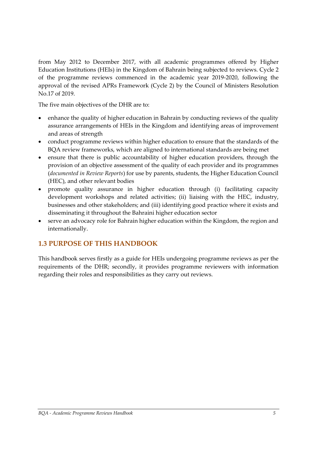from May 2012 to December 2017, with all academic programmes offered by Higher Education Institutions (HEIs) in the Kingdom of Bahrain being subjected to reviews. Cycle 2 of the programme reviews commenced in the academic year 2019-2020, following the approval of the revised APRs Framework (Cycle 2) by the Council of Ministers Resolution No.17 of 2019.

The five main objectives of the DHR are to:

- enhance the quality of higher education in Bahrain by conducting reviews of the quality assurance arrangements of HEIs in the Kingdom and identifying areas of improvement and areas of strength
- conduct programme reviews within higher education to ensure that the standards of the BQA review frameworks, which are aligned to international standards are being met
- ensure that there is public accountability of higher education providers, through the provision of an objective assessment of the quality of each provider and its programmes (*documented in Review Reports*) for use by parents, students, the Higher Education Council (HEC), and other relevant bodies
- promote quality assurance in higher education through (i) facilitating capacity development workshops and related activities; (ii) liaising with the HEC, industry, businesses and other stakeholders; and (iii) identifying good practice where it exists and disseminating it throughout the Bahraini higher education sector
- serve an advocacy role for Bahrain higher education within the Kingdom, the region and internationally.

# <span id="page-6-0"></span>**1.3 PURPOSE OF THIS HANDBOOK**

This handbook serves firstly as a guide for HEIs undergoing programme reviews as per the requirements of the DHR; secondly, it provides programme reviewers with information regarding their roles and responsibilities as they carry out reviews.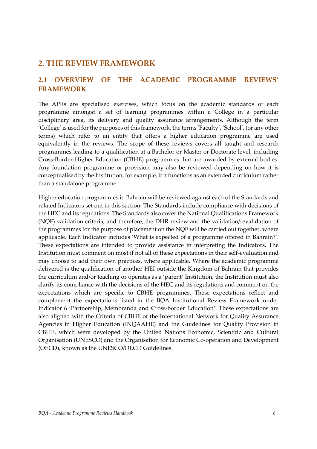# <span id="page-7-0"></span>**2. THE REVIEW FRAMEWORK**

# <span id="page-7-1"></span>**2.1 OVERVIEW OF THE ACADEMIC PROGRAMME REVIEWS' FRAMEWORK**

The APRs are specialised exercises, which focus on the academic standards of each programme amongst a set of learning programmes within a College in a particular disciplinary area, its delivery and quality assurance arrangements. Although the term 'College' is used for the purposes of this framework, the terms 'Faculty', 'School', (or any other terms) which refer to an entity that offers a higher education programme are used equivalently in the reviews. The scope of these reviews covers all taught and research programmes leading to a qualification at a Bachelor or Master or Doctorate level, including Cross-Border Higher Education (CBHE) programmes that are awarded by external bodies. Any foundation programme or provision may also be reviewed depending on how it is conceptualised by the Institution, for example, if it functions as an extended curriculum rather than a standalone programme.

Higher education programmes in Bahrain will be reviewed against each of the Standards and related Indicators set out in this section. The Standards include compliance with decisions of the HEC and its regulations. The Standards also cover the National Qualifications Framework (NQF) validation criteria, and therefore, the DHR review and the validation/revalidation of the programmes for the purpose of placement on the NQF will be carried out together, where applicable. Each Indicator includes 'What is expected of a programme offered in Bahrain?'. These expectations are intended to provide assistance in interpreting the Indicators. The Institution must comment on most if not all of these expectations in their self-evaluation and may choose to add their own practices, where applicable. Where the academic programme delivered is the qualification of another HEI outside the Kingdom of Bahrain that provides the curriculum and/or teaching or operates as a 'parent' Institution, the Institution must also clarify its compliance with the decisions of the HEC and its regulations and comment on the expectations which are specific to CBHE programmes. These expectations reflect and complement the expectations listed in the BQA Institutional Review Framework under Indicator 6 'Partnership, Memoranda and Cross-border Education'. These expectations are also aligned with the Criteria of CBHE of the International Network for Quality Assurance Agencies in Higher Education (INQAAHE) and the Guidelines for Quality Provision in CBHE, which were developed by the United Nations Economic, Scientific and Cultural Organisation (UNESCO) and the Organisation for Economic Co-operation and Development (OECD), known as the UNESCO/OECD Guidelines.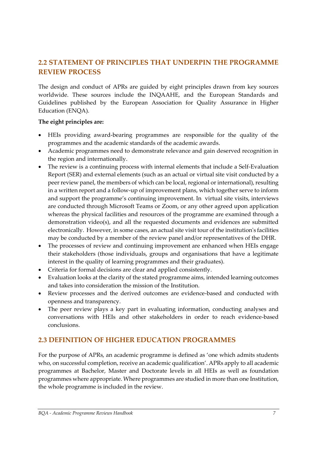# <span id="page-8-0"></span>**2.2 STATEMENT OF PRINCIPLES THAT UNDERPIN THE PROGRAMME REVIEW PROCESS**

The design and conduct of APRs are guided by eight principles drawn from key sources worldwide. These sources include the INQAAHE, and the European Standards and Guidelines published by the European Association for Quality Assurance in Higher Education (ENQA).

#### **The eight principles are:**

- HEIs providing award-bearing programmes are responsible for the quality of the programmes and the academic standards of the academic awards.
- Academic programmes need to demonstrate relevance and gain deserved recognition in the region and internationally.
- The review is a continuing process with internal elements that include a Self-Evaluation Report (SER) and external elements (such as an actual or virtual site visit conducted by a peer review panel, the members of which can be local, regional or international), resulting in a written report and a follow-up of improvement plans, which together serve to inform and support the programme's continuing improvement. In virtual site visits, interviews are conducted through Microsoft Teams or Zoom, or any other agreed upon application whereas the physical facilities and resources of the programme are examined through a demonstration video(s), and all the requested documents and evidences are submitted electronically. However, in some cases, an actual site visit tour of the institution's facilities may be conducted by a member of the review panel and/or representatives of the DHR.
- The processes of review and continuing improvement are enhanced when HEIs engage their stakeholders (those individuals, groups and organisations that have a legitimate interest in the quality of learning programmes and their graduates).
- Criteria for formal decisions are clear and applied consistently.
- Evaluation looks at the clarity of the stated programme aims, intended learning outcomes and takes into consideration the mission of the Institution.
- Review processes and the derived outcomes are evidence-based and conducted with openness and transparency.
- The peer review plays a key part in evaluating information, conducting analyses and conversations with HEIs and other stakeholders in order to reach evidence-based conclusions.

# <span id="page-8-1"></span>**2.3 DEFINITION OF HIGHER EDUCATION PROGRAMMES**

For the purpose of APRs, an academic programme is defined as 'one which admits students who, on successful completion, receive an academic qualification'. APRs apply to all academic programmes at Bachelor, Master and Doctorate levels in all HEIs as well as foundation programmes where appropriate. Where programmes are studied in more than one Institution, the whole programme is included in the review.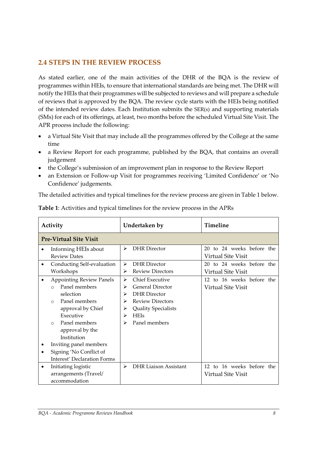## <span id="page-9-0"></span>**2.4 STEPS IN THE REVIEW PROCESS**

As stated earlier, one of the main activities of the DHR of the BQA is the review of programmes within HEIs, to ensure that international standards are being met. The DHR will notify the HEIs that their programmes will be subjected to reviews and will prepare a schedule of reviews that is approved by the BQA. The review cycle starts with the HEIs being notified of the intended review dates. Each Institution submits the SER(s) and supporting materials (SMs) for each of its offerings, at least, two months before the scheduled Virtual Site Visit. The APR process include the following:

- a Virtual Site Visit that may include all the programmes offered by the College at the same time
- a Review Report for each programme, published by the BQA, that contains an overall judgement
- the College's submission of an improvement plan in response to the Review Report
- an Extension or Follow-up Visit for programmes receiving 'Limited Confidence' or 'No Confidence' judgements.

The detailed activities and typical timelines for the review process are given in Table 1 below.

| Activity                                                                                                                                                                                                                                                                                             | Undertaken by                                                                                                                                                                                        | Timeline                                               |
|------------------------------------------------------------------------------------------------------------------------------------------------------------------------------------------------------------------------------------------------------------------------------------------------------|------------------------------------------------------------------------------------------------------------------------------------------------------------------------------------------------------|--------------------------------------------------------|
| <b>Pre-Virtual Site Visit</b>                                                                                                                                                                                                                                                                        |                                                                                                                                                                                                      |                                                        |
| Informing HEIs about<br><b>Review Dates</b>                                                                                                                                                                                                                                                          | <b>DHR</b> Director<br>⋗                                                                                                                                                                             | 20 to 24 weeks before the<br>Virtual Site Visit        |
| Conducting Self-evaluation<br>Workshops                                                                                                                                                                                                                                                              | <b>DHR</b> Director<br>⋗<br><b>Review Directors</b><br>⋗                                                                                                                                             | 20 to 24 weeks before the<br>Virtual Site Visit        |
| <b>Appointing Review Panels</b><br>Panel members<br>$\Omega$<br>selection<br>Panel members<br>$\Omega$<br>approval by Chief<br>Executive<br>Panel members<br>$\bigcirc$<br>approval by the<br>Institution<br>Inviting panel members<br>Signing 'No Conflict of<br><b>Interest' Declaration Forms</b> | <b>Chief Executive</b><br>➤<br><b>General Director</b><br>⋗<br><b>DHR</b> Director<br>⋗<br><b>Review Directors</b><br>⋗<br><b>Quality Specialists</b><br>⋗<br><b>HEIs</b><br>⋗<br>Panel members<br>⋗ | 12 to 16 weeks before the<br>Virtual Site Visit        |
| Initiating logistic<br>$\bullet$<br>arrangements (Travel/<br>accommodation                                                                                                                                                                                                                           | <b>DHR Liaison Assistant</b><br>↘                                                                                                                                                                    | 12 to 16 weeks before the<br><b>Virtual Site Visit</b> |

**Table 1**: Activities and typical timelines for the review process in the APRs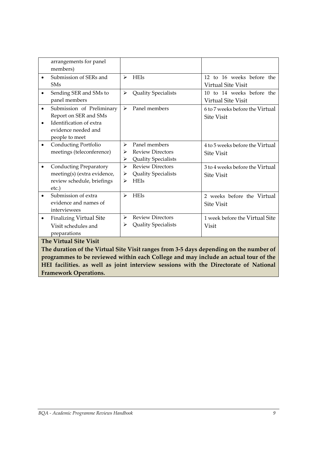| arrangements for panel                      |                                        |                                 |
|---------------------------------------------|----------------------------------------|---------------------------------|
| members)                                    |                                        |                                 |
| Submission of SERs and<br>$\bullet$         | <b>HEIs</b><br>$\blacktriangleright$   | 12 to 16 weeks before the       |
| <b>SM<sub>s</sub></b>                       |                                        | <b>Virtual Site Visit</b>       |
| Sending SER and SMs to<br>$\bullet$         | Quality Specialists<br>➤               | 10 to 14 weeks before the       |
| panel members                               |                                        | <b>Virtual Site Visit</b>       |
| Submission of Preliminary<br>$\bullet$      | Panel members<br>$\blacktriangleright$ | 6 to 7 weeks before the Virtual |
| Report on SER and SMs                       |                                        | <b>Site Visit</b>               |
| Identification of extra<br>$\bullet$        |                                        |                                 |
| evidence needed and                         |                                        |                                 |
| people to meet                              |                                        |                                 |
| Conducting Portfolio<br>$\bullet$           | Panel members<br>➤                     | 4 to 5 weeks before the Virtual |
| meetings (teleconference)                   | <b>Review Directors</b><br>⋗           | <b>Site Visit</b>               |
|                                             | <b>Quality Specialists</b><br>➤        |                                 |
| <b>Conducting Preparatory</b>               | <b>Review Directors</b><br>⋗           | 3 to 4 weeks before the Virtual |
| meeting(s) (extra evidence,                 | <b>Quality Specialists</b><br>➤        | <b>Site Visit</b>               |
| review schedule, briefings                  | <b>HEIs</b><br>⋗                       |                                 |
| etc.)                                       |                                        |                                 |
| Submission of extra                         | <b>HEIs</b><br>↘                       | 2 weeks before the Virtual      |
| evidence and names of                       |                                        | <b>Site Visit</b>               |
| interviewees                                |                                        |                                 |
| <b>Finalizing Virtual Site</b><br>$\bullet$ | <b>Review Directors</b><br>➤           | 1 week before the Virtual Site  |
| Visit schedules and                         | <b>Quality Specialists</b><br>≻        | <b>Visit</b>                    |
| preparations                                |                                        |                                 |
| <b>The Virtual Site Visit</b>               |                                        |                                 |

**The duration of the Virtual Site Visit ranges from 3-5 days depending on the number of programmes to be reviewed within each College and may include an actual tour of the HEI facilities. as well as joint interview sessions with the Directorate of National Framework Operations.**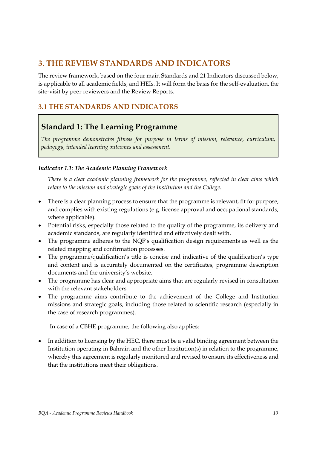# <span id="page-11-0"></span>**3. THE REVIEW STANDARDS AND INDICATORS**

The review framework, based on the four main Standards and 21 Indicators discussed below, is applicable to all academic fields, and HEIs. It will form the basis for the self-evaluation, the site-visit by peer reviewers and the Review Reports.

# <span id="page-11-1"></span>**3.1 THE STANDARDS AND INDICATORS**

# **Standard 1: The Learning Programme**

*The programme demonstrates fitness for purpose in terms of mission, relevance, curriculum, pedagogy, intended learning outcomes and assessment.*

#### *Indicator 1.1: The Academic Planning Framework*

*There is a clear academic planning framework for the programme, reflected in clear aims which relate to the mission and strategic goals of the Institution and the College.*

- There is a clear planning process to ensure that the programme is relevant, fit for purpose, and complies with existing regulations (e.g. license approval and occupational standards, where applicable).
- Potential risks, especially those related to the quality of the programme, its delivery and academic standards, are regularly identified and effectively dealt with.
- The programme adheres to the NQF's qualification design requirements as well as the related mapping and confirmation processes.
- The programme/qualification's title is concise and indicative of the qualification's type and content and is accurately documented on the certificates, programme description documents and the university's website.
- The programme has clear and appropriate aims that are regularly revised in consultation with the relevant stakeholders.
- The programme aims contribute to the achievement of the College and Institution missions and strategic goals, including those related to scientific research (especially in the case of research programmes).

In case of a CBHE programme, the following also applies:

• In addition to licensing by the HEC, there must be a valid binding agreement between the Institution operating in Bahrain and the other Institution(s) in relation to the programme, whereby this agreement is regularly monitored and revised to ensure its effectiveness and that the institutions meet their obligations.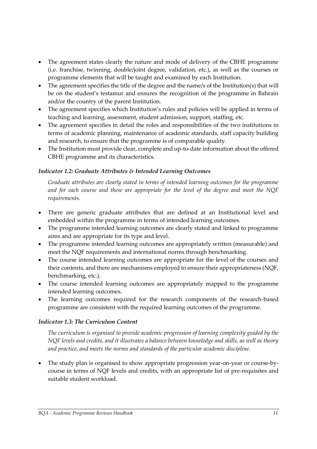- The agreement states clearly the nature and mode of delivery of the CBHE programme (i.e. franchise, twinning, double/joint degree, validation, etc.), as well as the courses or programme elements that will be taught and examined by each Institution.
- The agreement specifies the title of the degree and the name/s of the Institution(s) that will be on the student's testamur and ensures the recognition of the programme in Bahrain and/or the country of the parent Institution.
- The agreement specifies which Institution's rules and policies will be applied in terms of teaching and learning, assessment, student admission, support, staffing, etc.
- The agreement specifies in detail the roles and responsibilities of the two institutions in terms of academic planning, maintenance of academic standards, staff capacity building and research, to ensure that the programme is of comparable quality.
- The Institution must provide clear, complete and up-to-date information about the offered CBHE programme and its characteristics.

#### *Indicator 1.2: Graduate Attributes & Intended Learning Outcomes*

*Graduate attributes are clearly stated in terms of intended learning outcomes for the programme and for each course and these are appropriate for the level of the degree and meet the NQF requirements.*

- There are generic graduate attributes that are defined at an Institutional level and embedded within the programme in terms of intended learning outcomes.
- The programme intended learning outcomes are clearly stated and linked to programme aims and are appropriate for its type and level.
- The programme intended learning outcomes are appropriately written (measurable) and meet the NQF requirements and international norms through benchmarking.
- The course intended learning outcomes are appropriate for the level of the courses and their contents, and there are mechanisms employed to ensure their appropriateness (NQF, benchmarking, etc.).
- The course intended learning outcomes are appropriately mapped to the programme intended learning outcomes.
- The learning outcomes required for the research components of the research-based programme are consistent with the required learning outcomes of the programme.

#### *Indicator 1.3: The Curriculum Content*

*The curriculum is organised to provide academic progression of learning complexity guided by the NQF levels and credits, and it illustrates a balance between knowledge and skills, as well as theory and practice, and meets the norms and standards of the particular academic discipline.*

• The study plan is organised to show appropriate progression year-on-year or course-bycourse in terms of NQF levels and credits, with an appropriate list of pre-requisites and suitable student workload.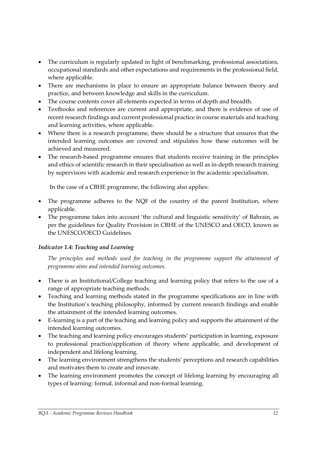- The curriculum is regularly updated in light of benchmarking, professional associations, occupational standards and other expectations and requirements in the professional field, where applicable.
- There are mechanisms in place to ensure an appropriate balance between theory and practice, and between knowledge and skills in the curriculum.
- The course contents cover all elements expected in terms of depth and breadth.
- Textbooks and references are current and appropriate, and there is evidence of use of recent research findings and current professional practice in course materials and teaching and learning activities, where applicable.
- Where there is a research programme, there should be a structure that ensures that the intended learning outcomes are covered and stipulates how these outcomes will be achieved and measured.
- The research-based programme ensures that students receive training in the principles and ethics of scientific research in their specialisation as well as in-depth research training by supervisors with academic and research experience in the academic specialisation.

In the case of a CBHE programme, the following also applies:

- The programme adheres to the NQF of the country of the parent Institution, where applicable.
- The programme takes into account 'the cultural and linguistic sensitivity' of Bahrain, as per the guidelines for Quality Provision in CBHE of the UNESCO and OECD, known as the UNESCO/OECD Guidelines.

## *Indicator 1.4: Teaching and Learning*

*The principles and methods used for teaching in the programme support the attainment of programme aims and intended learning outcomes.*

- There is an Institutional/College teaching and learning policy that refers to the use of a range of appropriate teaching methods.
- Teaching and learning methods stated in the programme specifications are in line with the Institution's teaching philosophy, informed by current research findings and enable the attainment of the intended learning outcomes.
- E-learning is a part of the teaching and learning policy and supports the attainment of the intended learning outcomes.
- The teaching and learning policy encourages students' participation in learning, exposure to professional practice/application of theory where applicable, and development of independent and lifelong learning.
- The learning environment strengthens the students' perceptions and research capabilities and motivates them to create and innovate.
- The learning environment promotes the concept of lifelong learning by encouraging all types of learning: formal, informal and non-formal learning.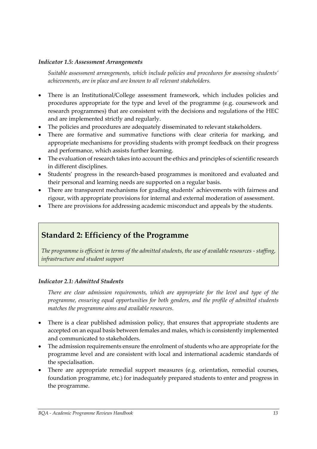#### *Indicator 1.5: Assessment Arrangements*

*Suitable assessment arrangements, which include policies and procedures for assessing students' achievements, are in place and are known to all relevant stakeholders.*

- There is an Institutional/College assessment framework, which includes policies and procedures appropriate for the type and level of the programme (e.g. coursework and research programmes) that are consistent with the decisions and regulations of the HEC and are implemented strictly and regularly.
- The policies and procedures are adequately disseminated to relevant stakeholders.
- There are formative and summative functions with clear criteria for marking, and appropriate mechanisms for providing students with prompt feedback on their progress and performance, which assists further learning.
- The evaluation of research takes into account the ethics and principles of scientific research in different disciplines.
- Students' progress in the research-based programmes is monitored and evaluated and their personal and learning needs are supported on a regular basis.
- There are transparent mechanisms for grading students' achievements with fairness and rigour, with appropriate provisions for internal and external moderation of assessment.
- There are provisions for addressing academic misconduct and appeals by the students.

# **Standard 2: Efficiency of the Programme**

*The programme is efficient in terms of the admitted students, the use of available resources - staffing, infrastructure and student support*

#### *Indicator 2.1: Admitted Students*

*There are clear admission requirements, which are appropriate for the level and type of the programme, ensuring equal opportunities for both genders, and the profile of admitted students matches the programme aims and available resources.* 

- There is a clear published admission policy, that ensures that appropriate students are accepted on an equal basis between females and males, which is consistently implemented and communicated to stakeholders.
- The admission requirements ensure the enrolment of students who are appropriate for the programme level and are consistent with local and international academic standards of the specialisation.
- There are appropriate remedial support measures (e.g. orientation, remedial courses, foundation programme, etc.) for inadequately prepared students to enter and progress in the programme.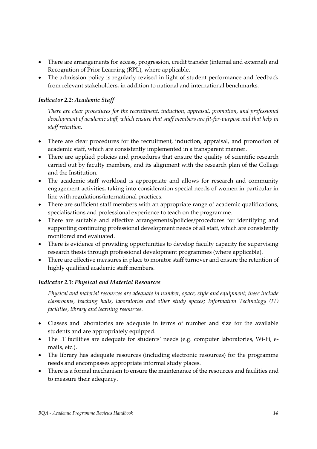- There are arrangements for access, progression, credit transfer (internal and external) and Recognition of Prior Learning (RPL), where applicable.
- The admission policy is regularly revised in light of student performance and feedback from relevant stakeholders, in addition to national and international benchmarks.

#### *Indicator 2.2: Academic Staff*

*There are clear procedures for the recruitment, induction, appraisal, promotion, and professional development of academic staff, which ensure that staff members are fit-for-purpose and that help in staff retention.* 

- There are clear procedures for the recruitment, induction, appraisal, and promotion of academic staff, which are consistently implemented in a transparent manner.
- There are applied policies and procedures that ensure the quality of scientific research carried out by faculty members, and its alignment with the research plan of the College and the Institution.
- The academic staff workload is appropriate and allows for research and community engagement activities, taking into consideration special needs of women in particular in line with regulations/international practices.
- There are sufficient staff members with an appropriate range of academic qualifications, specialisations and professional experience to teach on the programme.
- There are suitable and effective arrangements/policies/procedures for identifying and supporting continuing professional development needs of all staff, which are consistently monitored and evaluated.
- There is evidence of providing opportunities to develop faculty capacity for supervising research thesis through professional development programmes (where applicable).
- There are effective measures in place to monitor staff turnover and ensure the retention of highly qualified academic staff members.

#### *Indicator 2.3: Physical and Material Resources*

*Physical and material resources are adequate in number, space, style and equipment; these include classrooms, teaching halls, laboratories and other study spaces; Information Technology (IT) facilities, library and learning resources.* 

- Classes and laboratories are adequate in terms of number and size for the available students and are appropriately equipped.
- The IT facilities are adequate for students' needs (e.g. computer laboratories, Wi-Fi, emails, etc.).
- The library has adequate resources (including electronic resources) for the programme needs and encompasses appropriate informal study places.
- There is a formal mechanism to ensure the maintenance of the resources and facilities and to measure their adequacy.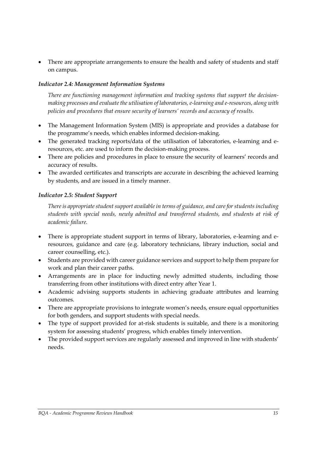There are appropriate arrangements to ensure the health and safety of students and staff on campus.

#### *Indicator 2.4: Management Information Systems*

*There are functioning management information and tracking systems that support the decisionmaking processes and evaluate the utilisation of laboratories, e-learning and e-resources, along with policies and procedures that ensure security of learners' records and accuracy of results.*

- The Management Information System (MIS) is appropriate and provides a database for the programme's needs, which enables informed decision-making.
- The generated tracking reports/data of the utilisation of laboratories, e-learning and eresources, etc. are used to inform the decision-making process.
- There are policies and procedures in place to ensure the security of learners' records and accuracy of results.
- The awarded certificates and transcripts are accurate in describing the achieved learning by students, and are issued in a timely manner.

#### *Indicator 2.5: Student Support*

*There is appropriate student support available in terms of guidance, and care for students including students with special needs, newly admitted and transferred students, and students at risk of academic failure.* 

- There is appropriate student support in terms of library, laboratories, e-learning and eresources, guidance and care (e.g. laboratory technicians, library induction, social and career counselling, etc.).
- Students are provided with career guidance services and support to help them prepare for work and plan their career paths.
- Arrangements are in place for inducting newly admitted students, including those transferring from other institutions with direct entry after Year 1.
- Academic advising supports students in achieving graduate attributes and learning outcomes.
- There are appropriate provisions to integrate women's needs, ensure equal opportunities for both genders, and support students with special needs.
- The type of support provided for at-risk students is suitable, and there is a monitoring system for assessing students' progress, which enables timely intervention.
- The provided support services are regularly assessed and improved in line with students' needs.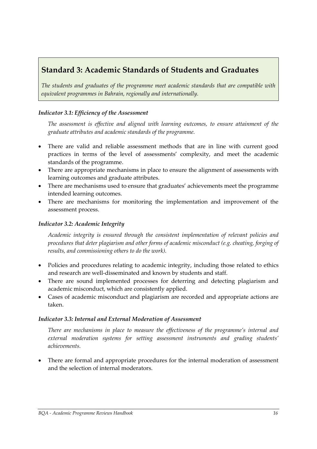# **Standard 3: Academic Standards of Students and Graduates**

*The students and graduates of the programme meet academic standards that are compatible with equivalent programmes in Bahrain, regionally and internationally.*

#### *Indicator 3.1: Efficiency of the Assessment*

*The assessment is effective and aligned with learning outcomes, to ensure attainment of the graduate attributes and academic standards of the programme.* 

- There are valid and reliable assessment methods that are in line with current good practices in terms of the level of assessments' complexity, and meet the academic standards of the programme.
- There are appropriate mechanisms in place to ensure the alignment of assessments with learning outcomes and graduate attributes.
- There are mechanisms used to ensure that graduates' achievements meet the programme intended learning outcomes.
- There are mechanisms for monitoring the implementation and improvement of the assessment process.

#### *Indicator 3.2: Academic Integrity*

*Academic integrity is ensured through the consistent implementation of relevant policies and procedures that deter plagiarism and other forms of academic misconduct (e.g. cheating, forging of results, and commissioning others to do the work).* 

- Policies and procedures relating to academic integrity, including those related to ethics and research are well-disseminated and known by students and staff.
- There are sound implemented processes for deterring and detecting plagiarism and academic misconduct, which are consistently applied.
- Cases of academic misconduct and plagiarism are recorded and appropriate actions are taken.

#### *Indicator 3.3: Internal and External Moderation of Assessment*

*There are mechanisms in place to measure the effectiveness of the programme's internal and external moderation systems for setting assessment instruments and grading students' achievements.* 

• There are formal and appropriate procedures for the internal moderation of assessment and the selection of internal moderators.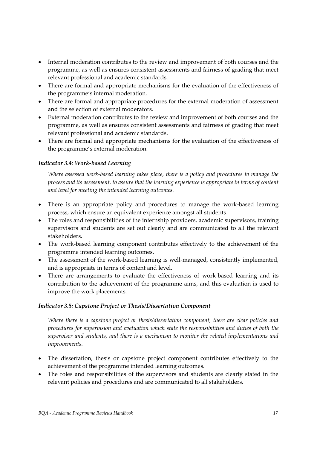- Internal moderation contributes to the review and improvement of both courses and the programme, as well as ensures consistent assessments and fairness of grading that meet relevant professional and academic standards.
- There are formal and appropriate mechanisms for the evaluation of the effectiveness of the programme's internal moderation.
- There are formal and appropriate procedures for the external moderation of assessment and the selection of external moderators.
- External moderation contributes to the review and improvement of both courses and the programme, as well as ensures consistent assessments and fairness of grading that meet relevant professional and academic standards.
- There are formal and appropriate mechanisms for the evaluation of the effectiveness of the programme's external moderation.

#### *Indicator 3.4: Work-based Learning*

*Where assessed work-based learning takes place, there is a policy and procedures to manage the process and its assessment, to assure that the learning experience is appropriate in terms of content and level for meeting the intended learning outcomes.* 

- There is an appropriate policy and procedures to manage the work-based learning process, which ensure an equivalent experience amongst all students.
- The roles and responsibilities of the internship providers, academic supervisors, training supervisors and students are set out clearly and are communicated to all the relevant stakeholders.
- The work-based learning component contributes effectively to the achievement of the programme intended learning outcomes.
- The assessment of the work-based learning is well-managed, consistently implemented, and is appropriate in terms of content and level.
- There are arrangements to evaluate the effectiveness of work-based learning and its contribution to the achievement of the programme aims, and this evaluation is used to improve the work placements.

#### *Indicator 3.5: Capstone Project or Thesis/Dissertation Component*

*Where there is a capstone project or thesis/dissertation component, there are clear policies and procedures for supervision and evaluation which state the responsibilities and duties of both the supervisor and students, and there is a mechanism to monitor the related implementations and improvements.*

- The dissertation, thesis or capstone project component contributes effectively to the achievement of the programme intended learning outcomes.
- The roles and responsibilities of the supervisors and students are clearly stated in the relevant policies and procedures and are communicated to all stakeholders.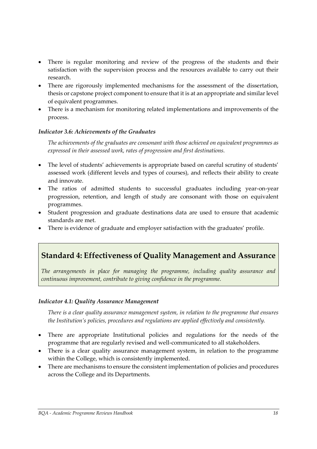- There is regular monitoring and review of the progress of the students and their satisfaction with the supervision process and the resources available to carry out their research.
- There are rigorously implemented mechanisms for the assessment of the dissertation, thesis or capstone project component to ensure that it is at an appropriate and similar level of equivalent programmes.
- There is a mechanism for monitoring related implementations and improvements of the process.

#### *Indicator 3.6: Achievements of the Graduates*

*The achievements of the graduates are consonant with those achieved on equivalent programmes as expressed in their assessed work, rates of progression and first destinations.*

- The level of students' achievements is appropriate based on careful scrutiny of students' assessed work (different levels and types of courses), and reflects their ability to create and innovate.
- The ratios of admitted students to successful graduates including year-on-year progression, retention, and length of study are consonant with those on equivalent programmes.
- Student progression and graduate destinations data are used to ensure that academic standards are met.
- There is evidence of graduate and employer satisfaction with the graduates' profile.

# **Standard 4: Effectiveness of Quality Management and Assurance**

*The arrangements in place for managing the programme, including quality assurance and continuous improvement, contribute to giving confidence in the programme.*

#### *Indicator 4.1: Quality Assurance Management*

*There is a clear quality assurance management system, in relation to the programme that ensures the Institution's policies, procedures and regulations are applied effectively and consistently.*

- There are appropriate Institutional policies and regulations for the needs of the programme that are regularly revised and well-communicated to all stakeholders.
- There is a clear quality assurance management system, in relation to the programme within the College, which is consistently implemented.
- There are mechanisms to ensure the consistent implementation of policies and procedures across the College and its Departments.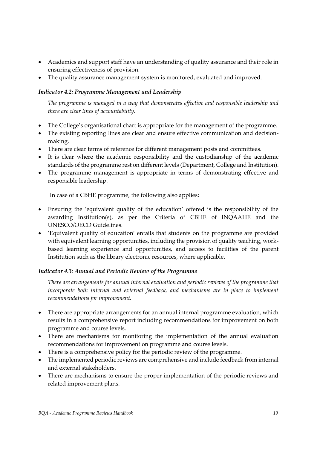- Academics and support staff have an understanding of quality assurance and their role in ensuring effectiveness of provision.
- The quality assurance management system is monitored, evaluated and improved.

#### *Indicator 4.2: Programme Management and Leadership*

*The programme is managed in a way that demonstrates effective and responsible leadership and there are clear lines of accountability.*

- The College's organisational chart is appropriate for the management of the programme.
- The existing reporting lines are clear and ensure effective communication and decisionmaking.
- There are clear terms of reference for different management posts and committees.
- It is clear where the academic responsibility and the custodianship of the academic standards of the programme rest on different levels (Department, College and Institution).
- The programme management is appropriate in terms of demonstrating effective and responsible leadership.

In case of a CBHE programme, the following also applies:

- Ensuring the 'equivalent quality of the education' offered is the responsibility of the awarding Institution(s), as per the Criteria of CBHE of INQAAHE and the UNESCO/OECD Guidelines.
- 'Equivalent quality of education' entails that students on the programme are provided with equivalent learning opportunities, including the provision of quality teaching, workbased learning experience and opportunities, and access to facilities of the parent Institution such as the library electronic resources, where applicable.

#### *Indicator 4.3: Annual and Periodic Review of the Programme*

*There are arrangements for annual internal evaluation and periodic reviews of the programme that incorporate both internal and external feedback, and mechanisms are in place to implement recommendations for improvement.*

- There are appropriate arrangements for an annual internal programme evaluation, which results in a comprehensive report including recommendations for improvement on both programme and course levels.
- There are mechanisms for monitoring the implementation of the annual evaluation recommendations for improvement on programme and course levels.
- There is a comprehensive policy for the periodic review of the programme.
- The implemented periodic reviews are comprehensive and include feedback from internal and external stakeholders.
- There are mechanisms to ensure the proper implementation of the periodic reviews and related improvement plans.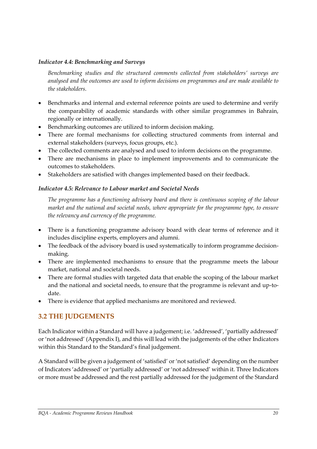#### *Indicator 4.4: Benchmarking and Surveys*

*Benchmarking studies and the structured comments collected from stakeholders' surveys are analysed and the outcomes are used to inform decisions on programmes and are made available to the stakeholders.* 

- Benchmarks and internal and external reference points are used to determine and verify the comparability of academic standards with other similar programmes in Bahrain, regionally or internationally.
- Benchmarking outcomes are utilized to inform decision making.
- There are formal mechanisms for collecting structured comments from internal and external stakeholders (surveys, focus groups, etc.).
- The collected comments are analysed and used to inform decisions on the programme.
- There are mechanisms in place to implement improvements and to communicate the outcomes to stakeholders.
- Stakeholders are satisfied with changes implemented based on their feedback.

#### *Indicator 4.5: Relevance to Labour market and Societal Needs*

*The programme has a functioning advisory board and there is continuous scoping of the labour market and the national and societal needs, where appropriate for the programme type, to ensure the relevancy and currency of the programme.* 

- There is a functioning programme advisory board with clear terms of reference and it includes discipline experts, employers and alumni.
- The feedback of the advisory board is used systematically to inform programme decisionmaking.
- There are implemented mechanisms to ensure that the programme meets the labour market, national and societal needs.
- There are formal studies with targeted data that enable the scoping of the labour market and the national and societal needs, to ensure that the programme is relevant and up-todate.
- There is evidence that applied mechanisms are monitored and reviewed.

# <span id="page-21-0"></span>**3.2 THE JUDGEMENTS**

Each Indicator within a Standard will have a judgement; i.e. 'addressed', 'partially addressed' or 'not addressed' (Appendix I), and this will lead with the judgements of the other Indicators within this Standard to the Standard's final judgement.

A Standard will be given a judgement of 'satisfied' or 'not satisfied' depending on the number of Indicators 'addressed' or 'partially addressed' or 'not addressed' within it. Three Indicators or more must be addressed and the rest partially addressed for the judgement of the Standard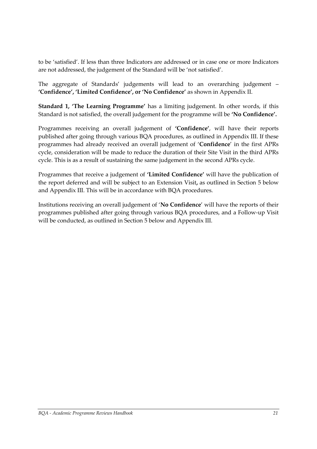to be 'satisfied'. If less than three Indicators are addressed or in case one or more Indicators are not addressed, the judgement of the Standard will be 'not satisfied'.

The aggregate of Standards' judgements will lead to an overarching judgement – **'Confidence', 'Limited Confidence', or 'No Confidence'** as shown in Appendix II.

**Standard 1, 'The Learning Programme'** has a limiting judgement. In other words, if this Standard is not satisfied, the overall judgement for the programme will be **'No Confidence'.**

Programmes receiving an overall judgement of **'Confidence'**, will have their reports published after going through various BQA procedures, as outlined in Appendix III. If these programmes had already received an overall judgement of '**Confidence**' in the first APRs cycle, consideration will be made to reduce the duration of their Site Visit in the third APRs cycle. This is as a result of sustaining the same judgement in the second APRs cycle.

Programmes that receive a judgement of **'Limited Confidence'** will have the publication of the report deferred and will be subject to an Extension Visit**,** as outlined in Section 5 below and Appendix III. This will be in accordance with BQA procedures.

Institutions receiving an overall judgement of '**No Confidence**' will have the reports of their programmes published after going through various BQA procedures, and a Follow-up Visit will be conducted, as outlined in Section 5 below and Appendix III.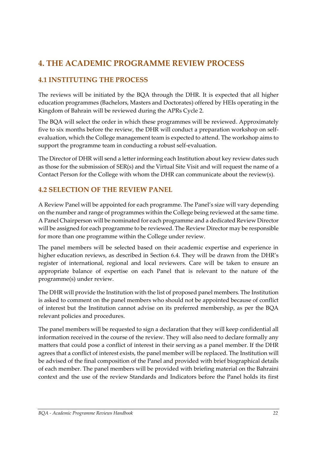# <span id="page-23-0"></span>**4. THE ACADEMIC PROGRAMME REVIEW PROCESS**

# <span id="page-23-1"></span>**4.1 INSTITUTING THE PROCESS**

The reviews will be initiated by the BQA through the DHR. It is expected that all higher education programmes (Bachelors, Masters and Doctorates) offered by HEIs operating in the Kingdom of Bahrain will be reviewed during the APRs Cycle 2.

The BQA will select the order in which these programmes will be reviewed. Approximately five to six months before the review, the DHR will conduct a preparation workshop on selfevaluation, which the College management team is expected to attend. The workshop aims to support the programme team in conducting a robust self-evaluation.

The Director of DHR will send a letter informing each Institution about key review dates such as those for the submission of SER(s) and the Virtual Site Visit and will request the name of a Contact Person for the College with whom the DHR can communicate about the review(s).

## <span id="page-23-2"></span>**4.2 SELECTION OF THE REVIEW PANEL**

A Review Panel will be appointed for each programme. The Panel's size will vary depending on the number and range of programmes within the College being reviewed at the same time. A Panel Chairperson will be nominated for each programme and a dedicated Review Director will be assigned for each programme to be reviewed. The Review Director may be responsible for more than one programme within the College under review.

The panel members will be selected based on their academic expertise and experience in higher education reviews, as described in Section 6.4. They will be drawn from the DHR's register of international, regional and local reviewers. Care will be taken to ensure an appropriate balance of expertise on each Panel that is relevant to the nature of the programme(s) under review.

The DHR will provide the Institution with the list of proposed panel members. The Institution is asked to comment on the panel members who should not be appointed because of conflict of interest but the Institution cannot advise on its preferred membership, as per the BQA relevant policies and procedures.

The panel members will be requested to sign a declaration that they will keep confidential all information received in the course of the review. They will also need to declare formally any matters that could pose a conflict of interest in their serving as a panel member. If the DHR agrees that a conflict of interest exists, the panel member will be replaced. The Institution will be advised of the final composition of the Panel and provided with brief biographical details of each member. The panel members will be provided with briefing material on the Bahraini context and the use of the review Standards and Indicators before the Panel holds its first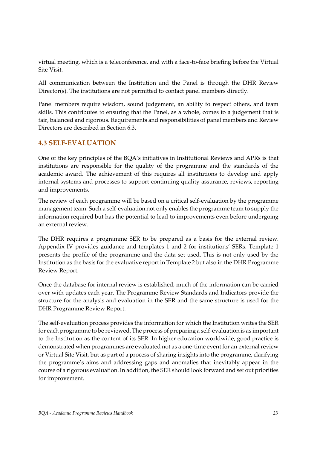virtual meeting, which is a teleconference, and with a face-to-face briefing before the Virtual Site Visit.

All communication between the Institution and the Panel is through the DHR Review Director(s). The institutions are not permitted to contact panel members directly.

Panel members require wisdom, sound judgement, an ability to respect others, and team skills. This contributes to ensuring that the Panel, as a whole, comes to a judgement that is fair, balanced and rigorous. Requirements and responsibilities of panel members and Review Directors are described in Section 6.3.

## <span id="page-24-0"></span>**4.3 SELF-EVALUATION**

One of the key principles of the BQA's initiatives in Institutional Reviews and APRs is that institutions are responsible for the quality of the programme and the standards of the academic award. The achievement of this requires all institutions to develop and apply internal systems and processes to support continuing quality assurance, reviews, reporting and improvements.

The review of each programme will be based on a critical self-evaluation by the programme management team. Such a self-evaluation not only enables the programme team to supply the information required but has the potential to lead to improvements even before undergoing an external review.

The DHR requires a programme SER to be prepared as a basis for the external review. Appendix IV provides guidance and templates 1 and 2 for institutions' SERs. Template 1 presents the profile of the programme and the data set used. This is not only used by the Institution as the basis for the evaluative report in Template 2 but also in the DHR Programme Review Report.

Once the database for internal review is established, much of the information can be carried over with updates each year. The Programme Review Standards and Indicators provide the structure for the analysis and evaluation in the SER and the same structure is used for the DHR Programme Review Report.

The self-evaluation process provides the information for which the Institution writes the SER for each programme to be reviewed. The process of preparing a self-evaluation is as important to the Institution as the content of its SER. In higher education worldwide, good practice is demonstrated when programmes are evaluated not as a one-time event for an external review or Virtual Site Visit, but as part of a process of sharing insights into the programme, clarifying the programme's aims and addressing gaps and anomalies that inevitably appear in the course of a rigorous evaluation. In addition, the SER should look forward and set out priorities for improvement.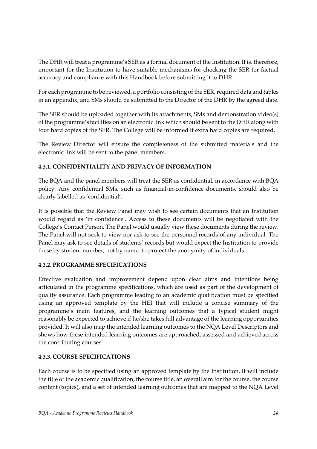The DHR will treat a programme's SER as a formal document of the Institution. It is, therefore, important for the Institution to have suitable mechanisms for checking the SER for factual accuracy and compliance with this Handbook before submitting it to DHR.

For each programme to be reviewed, a portfolio consisting of the SER, required data and tables in an appendix, and SMs should be submitted to the Director of the DHR by the agreed date.

The SER should be uploaded together with its attachments, SMs and demonstration video(s) of the programme's facilities on an electronic link which should be sent to the DHR along with four hard copies of the SER. The College will be informed if extra hard copies are required.

The Review Director will ensure the completeness of the submitted materials and the electronic link will be sent to the panel members.

## **4.3.1. CONFIDENTIALITY AND PRIVACY OF INFORMATION**

The BQA and the panel members will treat the SER as confidential, in accordance with BQA policy. Any confidential SMs, such as financial-in-confidence documents, should also be clearly labelled as 'confidential'.

It is possible that the Review Panel may wish to see certain documents that an Institution would regard as 'in confidence'. Access to these documents will be negotiated with the College's Contact Person. The Panel would usually view these documents during the review. The Panel will not seek to view nor ask to see the personnel records of any individual. The Panel may ask to see details of students' records but would expect the Institution to provide these by student number, not by name, to protect the anonymity of individuals.

#### **4.3.2. PROGRAMME SPECIFICATIONS**

Effective evaluation and improvement depend upon clear aims and intentions being articulated in the programme specifications, which are used as part of the development of quality assurance. Each programme leading to an academic qualification must be specified using an approved template by the HEI that will include a concise summary of the programme's main features, and the learning outcomes that a typical student might reasonably be expected to achieve if he/she takes full advantage of the learning opportunities provided. It will also map the intended learning outcomes to the NQA Level Descriptors and shows how these intended learning outcomes are approached, assessed and achieved across the contributing courses.

#### **4.3.3. COURSE SPECIFICATIONS**

Each course is to be specified using an approved template by the Institution. It will include the title of the academic qualification, the course title, an overall aim for the course, the course content (topics), and a set of intended learning outcomes that are mapped to the NQA Level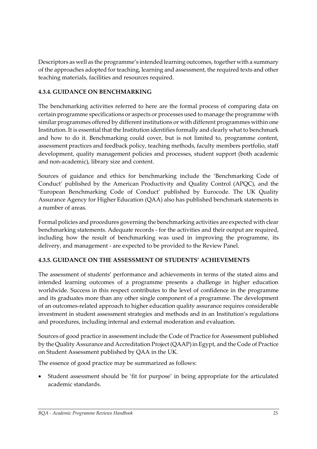Descriptors as well as the programme's intended learning outcomes, together with a summary of the approaches adopted for teaching, learning and assessment, the required texts and other teaching materials, facilities and resources required.

#### **4.3.4. GUIDANCE ON BENCHMARKING**

The benchmarking activities referred to here are the formal process of comparing data on certain programme specifications or aspects or processes used to manage the programme with similar programmes offered by different institutions or with different programmes within one Institution. It is essential that the Institution identifies formally and clearly what to benchmark and how to do it. Benchmarking could cover, but is not limited to, programme content, assessment practices and feedback policy, teaching methods, faculty members portfolio, staff development, quality management policies and processes, student support (both academic and non-academic), library size and content.

Sources of guidance and ethics for benchmarking include the 'Benchmarking Code of Conduct' published by the American Productivity and Quality Control (APQC), and the 'European Benchmarking Code of Conduct' published by Eurocode. The UK Quality Assurance Agency for Higher Education (QAA) also has published benchmark statements in a number of areas.

Formal policies and procedures governing the benchmarking activities are expected with clear benchmarking statements. Adequate records - for the activities and their output are required, including how the result of benchmarking was used in improving the programme, its delivery, and management - are expected to be provided to the Review Panel.

#### **4.3.5. GUIDANCE ON THE ASSESSMENT OF STUDENTS' ACHIEVEMENTS**

The assessment of students' performance and achievements in terms of the stated aims and intended learning outcomes of a programme presents a challenge in higher education worldwide. Success in this respect contributes to the level of confidence in the programme and its graduates more than any other single component of a programme. The development of an outcomes-related approach to higher education quality assurance requires considerable investment in student assessment strategies and methods and in an Institution's regulations and procedures, including internal and external moderation and evaluation.

Sources of good practice in assessment include the Code of Practice for Assessment published by the Quality Assurance and Accreditation Project (QAAP) in Egypt, and the Code of Practice on Student Assessment published by QAA in the UK.

The essence of good practice may be summarized as follows:

• Student assessment should be 'fit for purpose' in being appropriate for the articulated academic standards.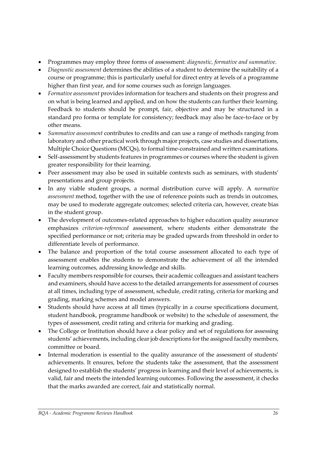- Programmes may employ three forms of assessment: *diagnostic, formative and summative*.
- *Diagnostic assessment* determines the abilities of a student to determine the suitability of a course or programme; this is particularly useful for direct entry at levels of a programme higher than first year, and for some courses such as foreign languages.
- *Formative assessment* provides information for teachers and students on their progress and on what is being learned and applied, and on how the students can further their learning. Feedback to students should be prompt, fair, objective and may be structured in a standard pro forma or template for consistency; feedback may also be face-to-face or by other means.
- *Summative assessment* contributes to credits and can use a range of methods ranging from laboratory and other practical work through major projects, case studies and dissertations, Multiple Choice Questions (MCQs), to formal time-constrained and written examinations.
- Self-assessment by students features in programmes or courses where the student is given greater responsibility for their learning.
- Peer assessment may also be used in suitable contexts such as seminars, with students' presentations and group projects.
- In any viable student groups, a normal distribution curve will apply. A *normative assessment* method, together with the use of reference points such as trends in outcomes, may be used to moderate aggregate outcomes; selected criteria can, however, create bias in the student group.
- The development of outcomes-related approaches to higher education quality assurance emphasizes *criterion-referenced* assessment, where students either demonstrate the specified performance or not; criteria may be graded upwards from threshold in order to differentiate levels of performance.
- The balance and proportion of the total course assessment allocated to each type of assessment enables the students to demonstrate the achievement of all the intended learning outcomes, addressing knowledge and skills.
- Faculty members responsible for courses, their academic colleagues and assistant teachers and examiners, should have access to the detailed arrangements for assessment of courses at all times, including type of assessment, schedule, credit rating, criteria for marking and grading, marking schemes and model answers.
- Students should have access at all times (typically in a course specifications document, student handbook, programme handbook or website) to the schedule of assessment, the types of assessment, credit rating and criteria for marking and grading.
- The College or Institution should have a clear policy and set of regulations for assessing students' achievements, including clear job descriptions for the assigned faculty members, committee or board.
- Internal moderation is essential to the quality assurance of the assessment of students' achievements. It ensures, before the students take the assessment, that the assessment designed to establish the students' progress in learning and their level of achievements, is valid, fair and meets the intended learning outcomes. Following the assessment, it checks that the marks awarded are correct, fair and statistically normal.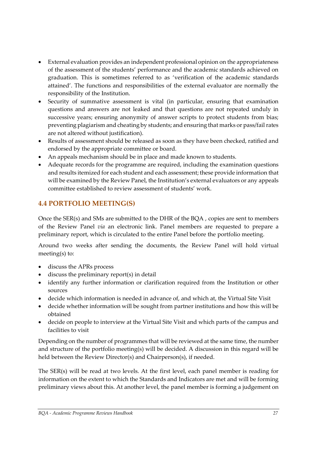- External evaluation provides an independent professional opinion on the appropriateness of the assessment of the students' performance and the academic standards achieved on graduation. This is sometimes referred to as 'verification of the academic standards attained'. The functions and responsibilities of the external evaluator are normally the responsibility of the Institution.
- Security of summative assessment is vital (in particular, ensuring that examination questions and answers are not leaked and that questions are not repeated unduly in successive years; ensuring anonymity of answer scripts to protect students from bias; preventing plagiarism and cheating by students; and ensuring that marks or pass/fail rates are not altered without justification).
- Results of assessment should be released as soon as they have been checked, ratified and endorsed by the appropriate committee or board.
- An appeals mechanism should be in place and made known to students.
- Adequate records for the programme are required, including the examination questions and results itemized for each student and each assessment; these provide information that will be examined by the Review Panel, the Institution's external evaluators or any appeals committee established to review assessment of students' work.

# <span id="page-28-0"></span>**4.4 PORTFOLIO MEETING(S)**

Once the SER(s) and SMs are submitted to the DHR of the BQA , copies are sent to members of the Review Panel *via* an electronic link. Panel members are requested to prepare a preliminary report, which is circulated to the entire Panel before the portfolio meeting.

Around two weeks after sending the documents, the Review Panel will hold virtual meeting(s) to:

- discuss the APRs process
- discuss the preliminary report(s) in detail
- identify any further information or clarification required from the Institution or other sources
- decide which information is needed in advance of, and which at, the Virtual Site Visit
- decide whether information will be sought from partner institutions and how this will be obtained
- decide on people to interview at the Virtual Site Visit and which parts of the campus and facilities to visit

Depending on the number of programmes that will be reviewed at the same time, the number and structure of the portfolio meeting(s) will be decided. A discussion in this regard will be held between the Review Director(s) and Chairperson(s), if needed.

The SER(s) will be read at two levels. At the first level, each panel member is reading for information on the extent to which the Standards and Indicators are met and will be forming preliminary views about this. At another level, the panel member is forming a judgement on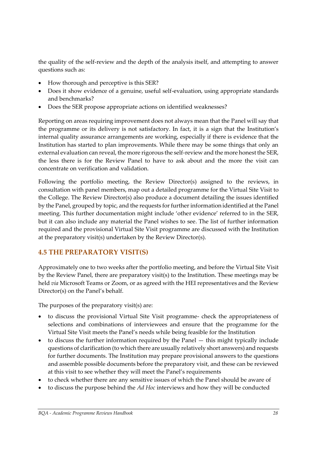the quality of the self-review and the depth of the analysis itself, and attempting to answer questions such as:

- How thorough and perceptive is this SER?
- Does it show evidence of a genuine, useful self-evaluation, using appropriate standards and benchmarks?
- Does the SER propose appropriate actions on identified weaknesses?

Reporting on areas requiring improvement does not always mean that the Panel will say that the programme or its delivery is not satisfactory. In fact, it is a sign that the Institution's internal quality assurance arrangements are working, especially if there is evidence that the Institution has started to plan improvements. While there may be some things that only an external evaluation can reveal, the more rigorous the self-review and the more honest the SER, the less there is for the Review Panel to have to ask about and the more the visit can concentrate on verification and validation.

Following the portfolio meeting, the Review Director(s) assigned to the reviews, in consultation with panel members, map out a detailed programme for the Virtual Site Visit to the College. The Review Director(s) also produce a document detailing the issues identified by the Panel, grouped by topic, and the requests for further information identified at the Panel meeting. This further documentation might include 'other evidence' referred to in the SER, but it can also include any material the Panel wishes to see. The list of further information required and the provisional Virtual Site Visit programme are discussed with the Institution at the preparatory visit(s) undertaken by the Review Director(s).

# <span id="page-29-0"></span>**4.5 THE PREPARATORY VISIT(S)**

Approximately one to two weeks after the portfolio meeting, and before the Virtual Site Visit by the Review Panel, there are preparatory visit(s) to the Institution. These meetings may be held *via* Microsoft Teams or Zoom, or as agreed with the HEI representatives and the Review Director(s) on the Panel's behalf.

The purposes of the preparatory visit(s) are:

- to discuss the provisional Virtual Site Visit programme- check the appropriateness of selections and combinations of interviewees and ensure that the programme for the Virtual Site Visit meets the Panel's needs while being feasible for the Institution
- to discuss the further information required by the Panel this might typically include questions of clarification (to which there are usually relatively short answers) and requests for further documents. The Institution may prepare provisional answers to the questions and assemble possible documents before the preparatory visit, and these can be reviewed at this visit to see whether they will meet the Panel's requirements
- to check whether there are any sensitive issues of which the Panel should be aware of
- to discuss the purpose behind the *Ad Hoc* interviews and how they will be conducted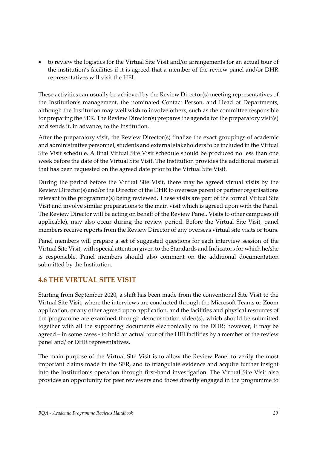• to review the logistics for the Virtual Site Visit and/or arrangements for an actual tour of the institution's facilities if it is agreed that a member of the review panel and/or DHR representatives will visit the HEI.

These activities can usually be achieved by the Review Director(s) meeting representatives of the Institution's management, the nominated Contact Person, and Head of Departments, although the Institution may well wish to involve others, such as the committee responsible for preparing the SER. The Review Director(s) prepares the agenda for the preparatory visit(s) and sends it, in advance, to the Institution.

After the preparatory visit, the Review Director(s) finalize the exact groupings of academic and administrative personnel, students and external stakeholders to be included in the Virtual Site Visit schedule. A final Virtual Site Visit schedule should be produced no less than one week before the date of the Virtual Site Visit. The Institution provides the additional material that has been requested on the agreed date prior to the Virtual Site Visit.

During the period before the Virtual Site Visit, there may be agreed virtual visits by the Review Director(s) and/or the Director of the DHR to overseas parent or partner organisations relevant to the programme(s) being reviewed. These visits are part of the formal Virtual Site Visit and involve similar preparations to the main visit which is agreed upon with the Panel. The Review Director will be acting on behalf of the Review Panel. Visits to other campuses (if applicable), may also occur during the review period. Before the Virtual Site Visit, panel members receive reports from the Review Director of any overseas virtual site visits or tours.

Panel members will prepare a set of suggested questions for each interview session of the Virtual Site Visit, with special attention given to the Standards and Indicators for which he/she is responsible. Panel members should also comment on the additional documentation submitted by the Institution.

# <span id="page-30-0"></span>**4.6 THE VIRTUAL SITE VISIT**

Starting from September 2020, a shift has been made from the conventional Site Visit to the Virtual Site Visit, where the interviews are conducted through the Microsoft Teams or Zoom application, or any other agreed upon application, and the facilities and physical resources of the programme are examined through demonstration video(s), which should be submitted together with all the supporting documents electronically to the DHR; however, it may be agreed – in some cases - to hold an actual tour of the HEI facilities by a member of the review panel and/ or DHR representatives.

The main purpose of the Virtual Site Visit is to allow the Review Panel to verify the most important claims made in the SER, and to triangulate evidence and acquire further insight into the Institution's operation through first-hand investigation. The Virtual Site Visit also provides an opportunity for peer reviewers and those directly engaged in the programme to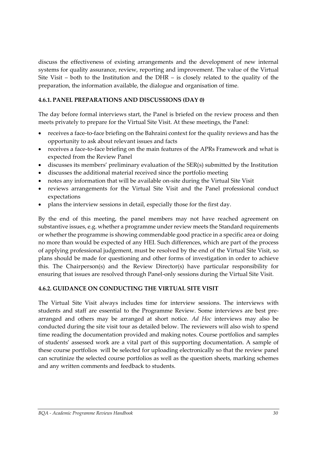discuss the effectiveness of existing arrangements and the development of new internal systems for quality assurance, review, reporting and improvement. The value of the Virtual Site Visit – both to the Institution and the DHR – is closely related to the quality of the preparation, the information available, the dialogue and organisation of time.

#### **4.6.1. PANEL PREPARATIONS AND DISCUSSIONS (DAY 0)**

The day before formal interviews start, the Panel is briefed on the review process and then meets privately to prepare for the Virtual Site Visit. At these meetings, the Panel:

- receives a face-to-face briefing on the Bahraini context for the quality reviews and has the opportunity to ask about relevant issues and facts
- receives a face-to-face briefing on the main features of the APRs Framework and what is expected from the Review Panel
- discusses its members' preliminary evaluation of the SER(s) submitted by the Institution
- discusses the additional material received since the portfolio meeting
- notes any information that will be available on-site during the Virtual Site Visit
- reviews arrangements for the Virtual Site Visit and the Panel professional conduct expectations
- plans the interview sessions in detail, especially those for the first day.

By the end of this meeting, the panel members may not have reached agreement on substantive issues, e.g. whether a programme under review meets the Standard requirements or whether the programme is showing commendable good practice in a specific area or doing no more than would be expected of any HEI. Such differences, which are part of the process of applying professional judgement, must be resolved by the end of the Virtual Site Visit, so plans should be made for questioning and other forms of investigation in order to achieve this. The Chairperson(s) and the Review Director(s) have particular responsibility for ensuring that issues are resolved through Panel-only sessions during the Virtual Site Visit.

#### **4.6.2. GUIDANCE ON CONDUCTING THE VIRTUAL SITE VISIT**

The Virtual Site Visit always includes time for interview sessions. The interviews with students and staff are essential to the Programme Review. Some interviews are best prearranged and others may be arranged at short notice. *Ad Hoc* interviews may also be conducted during the site visit tour as detailed below. The reviewers will also wish to spend time reading the documentation provided and making notes. Course portfolios and samples of students' assessed work are a vital part of this supporting documentation. A sample of these course portfolios will be selected for uploading electronically so that the review panel can scrutinize the selected course portfolios as well as the question sheets, marking schemes and any written comments and feedback to students.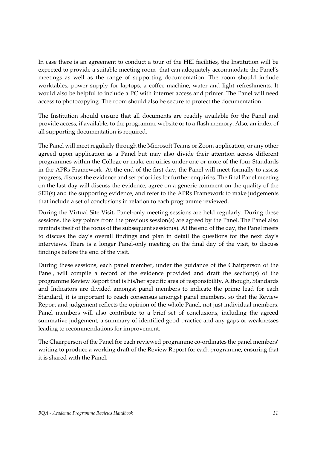In case there is an agreement to conduct a tour of the HEI facilities, the Institution will be expected to provide a suitable meeting room that can adequately accommodate the Panel's meetings as well as the range of supporting documentation. The room should include worktables, power supply for laptops, a coffee machine, water and light refreshments. It would also be helpful to include a PC with internet access and printer. The Panel will need access to photocopying. The room should also be secure to protect the documentation.

The Institution should ensure that all documents are readily available for the Panel and provide access, if available, to the programme website or to a flash memory. Also, an index of all supporting documentation is required.

The Panel will meet regularly through the Microsoft Teams or Zoom application, or any other agreed upon application as a Panel but may also divide their attention across different programmes within the College or make enquiries under one or more of the four Standards in the APRs Framework. At the end of the first day, the Panel will meet formally to assess progress, discuss the evidence and set priorities for further enquiries. The final Panel meeting on the last day will discuss the evidence, agree on a generic comment on the quality of the SER(s) and the supporting evidence, and refer to the APRs Framework to make judgements that include a set of conclusions in relation to each programme reviewed.

During the Virtual Site Visit, Panel-only meeting sessions are held regularly. During these sessions, the key points from the previous session(s) are agreed by the Panel. The Panel also reminds itself of the focus of the subsequent session(s). At the end of the day, the Panel meets to discuss the day's overall findings and plan in detail the questions for the next day's interviews. There is a longer Panel-only meeting on the final day of the visit, to discuss findings before the end of the visit.

During these sessions, each panel member, under the guidance of the Chairperson of the Panel, will compile a record of the evidence provided and draft the section(s) of the programme Review Report that is his/her specific area of responsibility. Although, Standards and Indicators are divided amongst panel members to indicate the prime lead for each Standard, it is important to reach consensus amongst panel members, so that the Review Report and judgement reflects the opinion of the whole Panel, not just individual members. Panel members will also contribute to a brief set of conclusions, including the agreed summative judgement, a summary of identified good practice and any gaps or weaknesses leading to recommendations for improvement.

The Chairperson of the Panel for each reviewed programme co-ordinates the panel members' writing to produce a working draft of the Review Report for each programme, ensuring that it is shared with the Panel.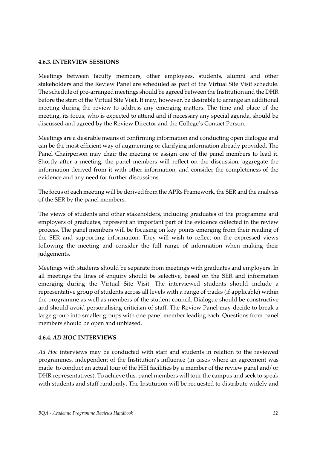#### **4.6.3. INTERVIEW SESSIONS**

Meetings between faculty members, other employees, students, alumni and other stakeholders and the Review Panel are scheduled as part of the Virtual Site Visit schedule. The schedule of pre-arranged meetings should be agreed between the Institution and the DHR before the start of the Virtual Site Visit. It may, however, be desirable to arrange an additional meeting during the review to address any emerging matters. The time and place of the meeting, its focus, who is expected to attend and if necessary any special agenda, should be discussed and agreed by the Review Director and the College's Contact Person.

Meetings are a desirable means of confirming information and conducting open dialogue and can be the most efficient way of augmenting or clarifying information already provided. The Panel Chairperson may chair the meeting or assign one of the panel members to lead it. Shortly after a meeting, the panel members will reflect on the discussion, aggregate the information derived from it with other information, and consider the completeness of the evidence and any need for further discussions.

The focus of each meeting will be derived from the APRs Framework, the SER and the analysis of the SER by the panel members.

The views of students and other stakeholders, including graduates of the programme and employers of graduates, represent an important part of the evidence collected in the review process. The panel members will be focusing on key points emerging from their reading of the SER and supporting information. They will wish to reflect on the expressed views following the meeting and consider the full range of information when making their judgements.

Meetings with students should be separate from meetings with graduates and employers. In all meetings the lines of enquiry should be selective, based on the SER and information emerging during the Virtual Site Visit. The interviewed students should include a representative group of students across all levels with a range of tracks (if applicable) within the programme as well as members of the student council. Dialogue should be constructive and should avoid personalising criticism of staff. The Review Panel may decide to break a large group into smaller groups with one panel member leading each. Questions from panel members should be open and unbiased.

#### **4.6.4.** *AD HOC* **INTERVIEWS**

*Ad Hoc* interviews may be conducted with staff and students in relation to the reviewed programmes, independent of the Institution's influence (in cases where an agreement was made to conduct an actual tour of the HEI facilities by a member of the review panel and/ or DHR representatives). To achieve this, panel members will tour the campus and seek to speak with students and staff randomly. The Institution will be requested to distribute widely and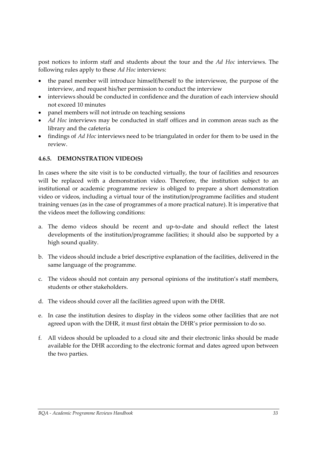post notices to inform staff and students about the tour and the *Ad Hoc* interviews. The following rules apply to these *Ad Hoc* interviews:

- the panel member will introduce himself/herself to the interviewee, the purpose of the interview, and request his/her permission to conduct the interview
- interviews should be conducted in confidence and the duration of each interview should not exceed 10 minutes
- panel members will not intrude on teaching sessions
- *Ad Hoc* interviews may be conducted in staff offices and in common areas such as the library and the cafeteria
- findings of *Ad Hoc* interviews need to be triangulated in order for them to be used in the review.

#### **4.6.5. DEMONSTRATION VIDEO(S)**

In cases where the site visit is to be conducted virtually, the tour of facilities and resources will be replaced with a demonstration video. Therefore, the institution subject to an institutional or academic programme review is obliged to prepare a short demonstration video or videos, including a virtual tour of the institution/programme facilities and student training venues (as in the case of programmes of a more practical nature). It is imperative that the videos meet the following conditions:

- a. The demo videos should be recent and up-to-date and should reflect the latest developments of the institution/programme facilities; it should also be supported by a high sound quality.
- b. The videos should include a brief descriptive explanation of the facilities, delivered in the same language of the programme.
- c. The videos should not contain any personal opinions of the institution's staff members, students or other stakeholders.
- d. The videos should cover all the facilities agreed upon with the DHR.
- e. In case the institution desires to display in the videos some other facilities that are not agreed upon with the DHR, it must first obtain the DHR's prior permission to do so.
- f. All videos should be uploaded to a cloud site and their electronic links should be made available for the DHR according to the electronic format and dates agreed upon between the two parties.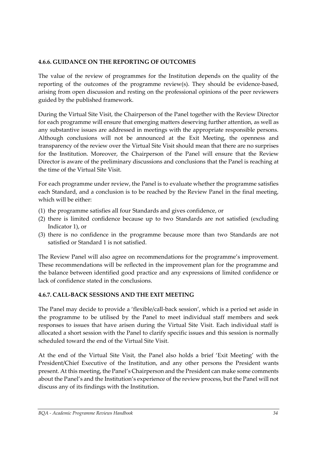#### **4.6.6. GUIDANCE ON THE REPORTING OF OUTCOMES**

The value of the review of programmes for the Institution depends on the quality of the reporting of the outcomes of the programme review(s). They should be evidence-based, arising from open discussion and resting on the professional opinions of the peer reviewers guided by the published framework.

During the Virtual Site Visit, the Chairperson of the Panel together with the Review Director for each programme will ensure that emerging matters deserving further attention, as well as any substantive issues are addressed in meetings with the appropriate responsible persons. Although conclusions will not be announced at the Exit Meeting, the openness and transparency of the review over the Virtual Site Visit should mean that there are no surprises for the Institution. Moreover, the Chairperson of the Panel will ensure that the Review Director is aware of the preliminary discussions and conclusions that the Panel is reaching at the time of the Virtual Site Visit.

For each programme under review, the Panel is to evaluate whether the programme satisfies each Standard, and a conclusion is to be reached by the Review Panel in the final meeting, which will be either:

- (1) the programme satisfies all four Standards and gives confidence, or
- (2) there is limited confidence because up to two Standards are not satisfied (excluding Indicator 1), or
- (3) there is no confidence in the programme because more than two Standards are not satisfied or Standard 1 is not satisfied.

The Review Panel will also agree on recommendations for the programme's improvement. These recommendations will be reflected in the improvement plan for the programme and the balance between identified good practice and any expressions of limited confidence or lack of confidence stated in the conclusions.

#### **4.6.7. CALL-BACK SESSIONS AND THE EXIT MEETING**

The Panel may decide to provide a 'flexible/call-back session', which is a period set aside in the programme to be utilised by the Panel to meet individual staff members and seek responses to issues that have arisen during the Virtual Site Visit. Each individual staff is allocated a short session with the Panel to clarify specific issues and this session is normally scheduled toward the end of the Virtual Site Visit.

At the end of the Virtual Site Visit, the Panel also holds a brief 'Exit Meeting' with the President/Chief Executive of the Institution, and any other persons the President wants present. At this meeting, the Panel's Chairperson and the President can make some comments about the Panel's and the Institution's experience of the review process, but the Panel will not discuss any of its findings with the Institution.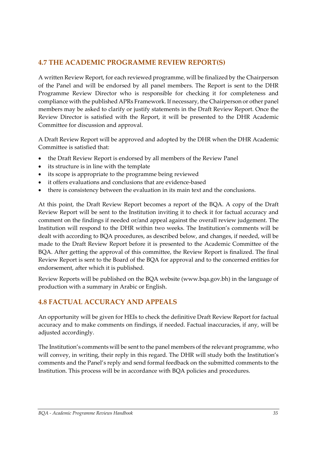# <span id="page-36-0"></span>**4.7 THE ACADEMIC PROGRAMME REVIEW REPORT(S)**

A written Review Report, for each reviewed programme, will be finalized by the Chairperson of the Panel and will be endorsed by all panel members. The Report is sent to the DHR Programme Review Director who is responsible for checking it for completeness and compliance with the published APRs Framework. If necessary, the Chairperson or other panel members may be asked to clarify or justify statements in the Draft Review Report. Once the Review Director is satisfied with the Report, it will be presented to the DHR Academic Committee for discussion and approval.

A Draft Review Report will be approved and adopted by the DHR when the DHR Academic Committee is satisfied that:

- the Draft Review Report is endorsed by all members of the Review Panel
- its structure is in line with the template
- its scope is appropriate to the programme being reviewed
- it offers evaluations and conclusions that are evidence-based
- there is consistency between the evaluation in its main text and the conclusions.

At this point, the Draft Review Report becomes a report of the BQA. A copy of the Draft Review Report will be sent to the Institution inviting it to check it for factual accuracy and comment on the findings if needed or/and appeal against the overall review judgement. The Institution will respond to the DHR within two weeks. The Institution's comments will be dealt with according to BQA procedures, as described below, and changes, if needed, will be made to the Draft Review Report before it is presented to the Academic Committee of the BQA. After getting the approval of this committee, the Review Report is finalized. The final Review Report is sent to the Board of the BQA for approval and to the concerned entities for endorsement, after which it is published.

Review Reports will be published on the BQA website (www.bqa.gov.bh) in the language of production with a summary in Arabic or English.

# <span id="page-36-1"></span>**4.8 FACTUAL ACCURACY AND APPEALS**

An opportunity will be given for HEIs to check the definitive Draft Review Report for factual accuracy and to make comments on findings, if needed. Factual inaccuracies, if any, will be adjusted accordingly.

The Institution's comments will be sent to the panel members of the relevant programme, who will convey, in writing, their reply in this regard. The DHR will study both the Institution's comments and the Panel's reply and send formal feedback on the submitted comments to the Institution. This process will be in accordance with BQA policies and procedures.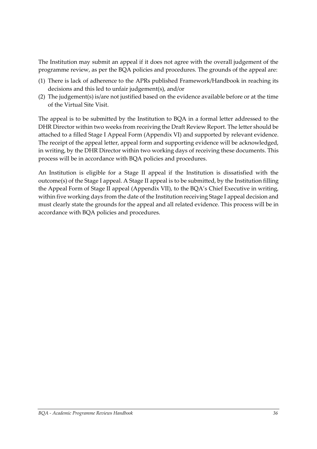The Institution may submit an appeal if it does not agree with the overall judgement of the programme review, as per the BQA policies and procedures. The grounds of the appeal are:

- (1) There is lack of adherence to the APRs published Framework/Handbook in reaching its decisions and this led to unfair judgement(s), and/or
- (2) The judgement(s) is/are not justified based on the evidence available before or at the time of the Virtual Site Visit.

The appeal is to be submitted by the Institution to BQA in a formal letter addressed to the DHR Director within two weeks from receiving the Draft Review Report. The letter should be attached to a filled Stage I Appeal Form (Appendix VI) and supported by relevant evidence. The receipt of the appeal letter, appeal form and supporting evidence will be acknowledged, in writing, by the DHR Director within two working days of receiving these documents. This process will be in accordance with BQA policies and procedures.

An Institution is eligible for a Stage II appeal if the Institution is dissatisfied with the outcome(s) of the Stage I appeal. A Stage II appeal is to be submitted, by the Institution filling the Appeal Form of Stage II appeal (Appendix VII), to the BQA's Chief Executive in writing, within five working days from the date of the Institution receiving Stage I appeal decision and must clearly state the grounds for the appeal and all related evidence. This process will be in accordance with BQA policies and procedures.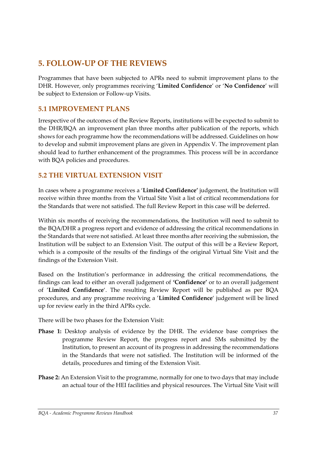# <span id="page-38-0"></span>**5. FOLLOW-UP OF THE REVIEWS**

Programmes that have been subjected to APRs need to submit improvement plans to the DHR. However, only programmes receiving '**Limited Confidence**' or '**No Confidence**' will be subject to Extension or Follow-up Visits.

## <span id="page-38-1"></span>**5.1 IMPROVEMENT PLANS**

Irrespective of the outcomes of the Review Reports, institutions will be expected to submit to the DHR/BQA an improvement plan three months after publication of the reports, which shows for each programme how the recommendations will be addressed. Guidelines on how to develop and submit improvement plans are given in Appendix V. The improvement plan should lead to further enhancement of the programmes. This process will be in accordance with BQA policies and procedures.

# <span id="page-38-2"></span>**5.2 THE VIRTUAL EXTENSION VISIT**

In cases where a programme receives a '**Limited Confidence'** judgement, the Institution will receive within three months from the Virtual Site Visit a list of critical recommendations for the Standards that were not satisfied. The full Review Report in this case will be deferred.

Within six months of receiving the recommendations, the Institution will need to submit to the BQA/DHR a progress report and evidence of addressing the critical recommendations in the Standards that were not satisfied. At least three months after receiving the submission, the Institution will be subject to an Extension Visit. The output of this will be a Review Report, which is a composite of the results of the findings of the original Virtual Site Visit and the findings of the Extension Visit.

Based on the Institution's performance in addressing the critical recommendations, the findings can lead to either an overall judgement of **'Confidence'** or to an overall judgement of '**Limited Confidence**'. The resulting Review Report will be published as per BQA procedures, and any programme receiving a '**Limited Confidence**' judgement will be lined up for review early in the third APRs cycle.

There will be two phases for the Extension Visit:

- **Phase 1:** Desktop analysis of evidence by the DHR. The evidence base comprises the programme Review Report, the progress report and SMs submitted by the Institution, to present an account of its progress in addressing the recommendations in the Standards that were not satisfied. The Institution will be informed of the details, procedures and timing of the Extension Visit.
- **Phase 2:** An Extension Visit to the programme, normally for one to two days that may include an actual tour of the HEI facilities and physical resources. The Virtual Site Visit will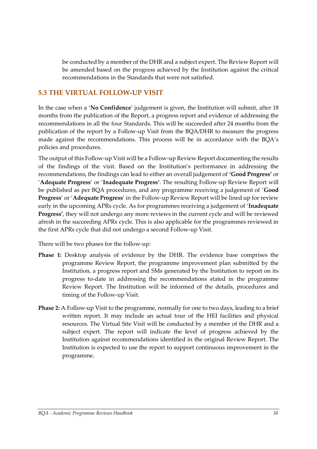be conducted by a member of the DHR and a subject expert. The Review Report will be amended based on the progress achieved by the Institution against the critical recommendations in the Standards that were not satisfied.

## <span id="page-39-0"></span>**5.3 THE VIRTUAL FOLLOW-UP VISIT**

In the case when a '**No Confidence**' judgement is given, the Institution will submit, after 18 months from the publication of the Report, a progress report and evidence of addressing the recommendations in all the four Standards. This will be succeeded after 24 months from the publication of the report by a Follow-up Visit from the BQA/DHR to measure the progress made against the recommendations. This process will be in accordance with the BQA's policies and procedures.

The output of this Follow-up Visit will be a Follow-up Review Report documenting the results of the findings of the visit. Based on the Institution's performance in addressing the recommendations, the findings can lead to either an overall judgement of **'Good Progress'** or '**Adequate Progress**' or '**Inadequate Progress'**. The resulting Follow-up Review Report will be published as per BQA procedures, and any programme receiving a judgement of '**Good Progress**' or '**Adequate Progress**' in the Follow-up Review Report will be lined up for review early in the upcoming APRs cycle. As for programmes receiving a judgement of '**Inadequate Progress'**, they will not undergo any more reviews in the current cycle and will be reviewed afresh in the succeeding APRs cycle. This is also applicable for the programmes reviewed in the first APRs cycle that did not undergo a second Follow-up Visit.

There will be two phases for the follow-up:

- **Phase 1:** Desktop analysis of evidence by the DHR. The evidence base comprises the programme Review Report, the programme improvement plan submitted by the Institution, a progress report and SMs generated by the Institution to report on its progress to-date in addressing the recommendations stated in the programme Review Report. The Institution will be informed of the details, procedures and timing of the Follow-up Visit.
- **Phase 2:** A Follow-up Visit to the programme, normally for one to two days, leading to a brief written report. It may include an actual tour of the HEI facilities and physical resources. The Virtual Site Visit will be conducted by a member of the DHR and a subject expert. The report will indicate the level of progress achieved by the Institution against recommendations identified in the original Review Report. The Institution is expected to use the report to support continuous improvement in the programme.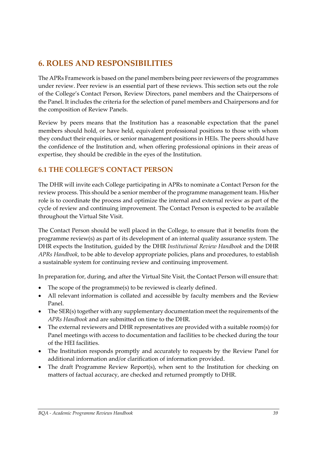# <span id="page-40-0"></span>**6. ROLES AND RESPONSIBILITIES**

The APRs Framework is based on the panel members being peer reviewers of the programmes under review. Peer review is an essential part of these reviews. This section sets out the role of the College's Contact Person, Review Directors, panel members and the Chairpersons of the Panel. It includes the criteria for the selection of panel members and Chairpersons and for the composition of Review Panels.

Review by peers means that the Institution has a reasonable expectation that the panel members should hold, or have held, equivalent professional positions to those with whom they conduct their enquiries, or senior management positions in HEIs. The peers should have the confidence of the Institution and, when offering professional opinions in their areas of expertise, they should be credible in the eyes of the Institution.

# <span id="page-40-1"></span>**6.1 THE COLLEGE'S CONTACT PERSON**

The DHR will invite each College participating in APRs to nominate a Contact Person for the review process. This should be a senior member of the programme management team. His/her role is to coordinate the process and optimize the internal and external review as part of the cycle of review and continuing improvement. The Contact Person is expected to be available throughout the Virtual Site Visit.

The Contact Person should be well placed in the College, to ensure that it benefits from the programme review(s) as part of its development of an internal quality assurance system. The DHR expects the Institution, guided by the DHR *Institutional Review Handbook* and the DHR *APRs Handbook*, to be able to develop appropriate policies, plans and procedures, to establish a sustainable system for continuing review and continuing improvement.

In preparation for, during, and after the Virtual Site Visit, the Contact Person will ensure that:

- The scope of the programme(s) to be reviewed is clearly defined.
- All relevant information is collated and accessible by faculty members and the Review Panel.
- The SER(s) together with any supplementary documentation meet the requirements of the *APRs Handbook* and are submitted on time to the DHR.
- The external reviewers and DHR representatives are provided with a suitable room(s) for Panel meetings with access to documentation and facilities to be checked during the tour of the HEI facilities.
- The Institution responds promptly and accurately to requests by the Review Panel for additional information and/or clarification of information provided.
- The draft Programme Review Report(s), when sent to the Institution for checking on matters of factual accuracy, are checked and returned promptly to DHR.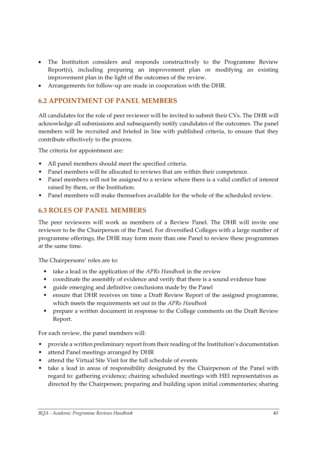- The Institution considers and responds constructively to the Programme Review Report(s), including preparing an improvement plan or modifying an existing improvement plan in the light of the outcomes of the review.
- Arrangements for follow-up are made in cooperation with the DHR.

## <span id="page-41-0"></span>**6.2 APPOINTMENT OF PANEL MEMBERS**

All candidates for the role of peer reviewer will be invited to submit their CVs. The DHR will acknowledge all submissions and subsequently notify candidates of the outcomes. The panel members will be recruited and briefed in line with published criteria, to ensure that they contribute effectively to the process.

The criteria for appointment are:

- All panel members should meet the specified criteria.
- Panel members will be allocated to reviews that are within their competence.
- Panel members will not be assigned to a review where there is a valid conflict of interest raised by them, or the Institution.
- Panel members will make themselves available for the whole of the scheduled review.

## <span id="page-41-1"></span>**6.3 ROLES OF PANEL MEMBERS**

The peer reviewers will work as members of a Review Panel. The DHR will invite one reviewer to be the Chairperson of the Panel. For diversified Colleges with a large number of programme offerings, the DHR may form more than one Panel to review these programmes at the same time.

The Chairpersons' roles are to:

- take a lead in the application of the *APRs Handbook* in the review
- coordinate the assembly of evidence and verify that there is a sound evidence base
- guide emerging and definitive conclusions made by the Panel
- ensure that DHR receives on time a Draft Review Report of the assigned programme, which meets the requirements set out in the *APRs Handbook*
- prepare a written document in response to the College comments on the Draft Review Report.

For each review, the panel members will:

- provide a written preliminary report from their reading of the Institution's documentation
- attend Panel meetings arranged by DHR
- attend the Virtual Site Visit for the full schedule of events
- take a lead in areas of responsibility designated by the Chairperson of the Panel with regard to: gathering evidence; chairing scheduled meetings with HEI representatives as directed by the Chairperson; preparing and building upon initial commentaries; sharing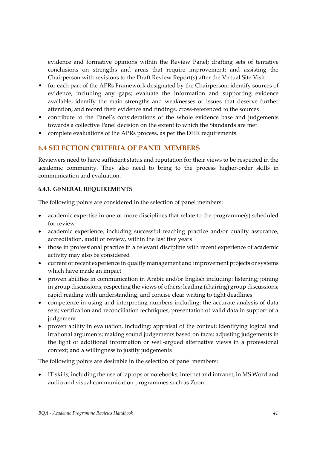evidence and formative opinions within the Review Panel; drafting sets of tentative conclusions on strengths and areas that require improvement; and assisting the Chairperson with revisions to the Draft Review Report(s) after the Virtual Site Visit

- for each part of the APRs Framework designated by the Chairperson: identify sources of evidence, including any gaps; evaluate the information and supporting evidence available; identify the main strengths and weaknesses or issues that deserve further attention; and record their evidence and findings, cross-referenced to the sources
- contribute to the Panel's considerations of the whole evidence base and judgements towards a collective Panel decision on the extent to which the Standards are met
- complete evaluations of the APRs process, as per the DHR requirements.

## <span id="page-42-0"></span>**6.4 SELECTION CRITERIA OF PANEL MEMBERS**

Reviewers need to have sufficient status and reputation for their views to be respected in the academic community. They also need to bring to the process higher-order skills in communication and evaluation.

#### **6.4.1. GENERAL REQUIREMENTS**

The following points are considered in the selection of panel members:

- academic expertise in one or more disciplines that relate to the programme(s) scheduled for review
- academic experience, including successful teaching practice and/or quality assurance, accreditation, audit or review, within the last five years
- those in professional practice in a relevant discipline with recent experience of academic activity may also be considered
- current or recent experience in quality management and improvement projects or systems which have made an impact
- proven abilities in communication in Arabic and/or English including: listening; joining in group discussions; respecting the views of others; leading (chairing) group discussions; rapid reading with understanding; and concise clear writing to tight deadlines
- competence in using and interpreting numbers including: the accurate analysis of data sets; verification and reconciliation techniques; presentation of valid data in support of a judgement
- proven ability in evaluation, including: appraisal of the context; identifying logical and irrational arguments; making sound judgements based on facts; adjusting judgements in the light of additional information or well-argued alternative views in a professional context; and a willingness to justify judgements

The following points are desirable in the selection of panel members:

• IT skills, including the use of laptops or notebooks, internet and intranet, in MS Word and audio and visual communication programmes such as Zoom.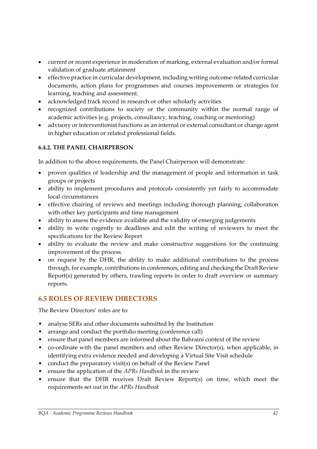- current or recent experience in moderation of marking, external evaluation and/or formal validation of graduate attainment
- effective practice in curricular development, including writing outcome-related curricular documents, action plans for programmes and courses improvements or strategies for learning, teaching and assessment.
- acknowledged track record in research or other scholarly activities
- recognized contributions to society or the community within the normal range of academic activities (e.g. projects, consultancy, teaching, coaching or mentoring)
- advisory or interventionist functions as an internal or external consultant or change agent in higher education or related professional fields.

#### **6.4.2. THE PANEL CHAIRPERSON**

In addition to the above requirements, the Panel Chairperson will demonstrate:

- proven qualities of leadership and the management of people and information in task groups or projects
- ability to implement procedures and protocols consistently yet fairly to accommodate local circumstances
- effective chairing of reviews and meetings including thorough planning, collaboration with other key participants and time management
- ability to assess the evidence available and the validity of emerging judgements
- ability to write cogently to deadlines and edit the writing of reviewers to meet the specifications for the Review Report
- ability to evaluate the review and make constructive suggestions for the continuing improvement of the process.
- on request by the DHR, the ability to make additional contributions to the process through, for example, contributions in conferences, editing and checking the Draft Review Report(s) generated by others, trawling reports in order to draft overview or summary reports.

## <span id="page-43-0"></span>**6.5 ROLES OF REVIEW DIRECTORS**

The Review Directors' roles are to:

- analyse SERs and other documents submitted by the Institution
- arrange and conduct the portfolio meeting (conference call)
- ensure that panel members are informed about the Bahraini context of the review
- co-ordinate with the panel members and other Review Director(s), when applicable, in identifying extra evidence needed and developing a Virtual Site Visit schedule
- conduct the preparatory visit(s) on behalf of the Review Panel
- ensure the application of the *APRs Handbook* in the review
- ensure that the DHR receives Draft Review Report(s) on time, which meet the requirements set out in the *APRs Handbook*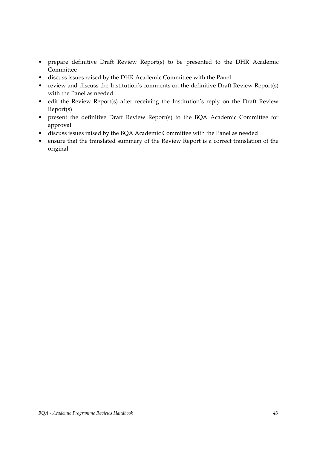- prepare definitive Draft Review Report(s) to be presented to the DHR Academic Committee
- discuss issues raised by the DHR Academic Committee with the Panel
- review and discuss the Institution's comments on the definitive Draft Review Report(s) with the Panel as needed
- edit the Review Report(s) after receiving the Institution's reply on the Draft Review Report(s)
- present the definitive Draft Review Report(s) to the BQA Academic Committee for approval
- discuss issues raised by the BQA Academic Committee with the Panel as needed
- ensure that the translated summary of the Review Report is a correct translation of the original.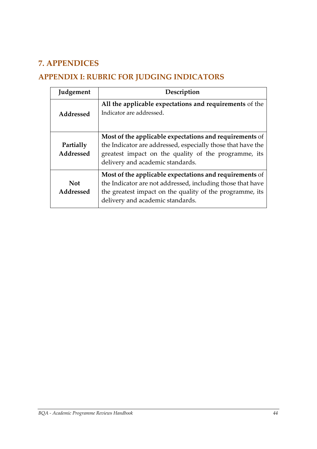# <span id="page-45-0"></span>**7. APPENDICES**

# <span id="page-45-1"></span>**APPENDIX I: RUBRIC FOR JUDGING INDICATORS**

| Judgement              | Description                                                                                                                                                                                                           |
|------------------------|-----------------------------------------------------------------------------------------------------------------------------------------------------------------------------------------------------------------------|
| Addressed              | All the applicable expectations and requirements of the<br>Indicator are addressed.                                                                                                                                   |
| Partially<br>Addressed | Most of the applicable expectations and requirements of<br>the Indicator are addressed, especially those that have the<br>greatest impact on the quality of the programme, its<br>delivery and academic standards.    |
| Not<br>Addressed       | Most of the applicable expectations and requirements of<br>the Indicator are not addressed, including those that have<br>the greatest impact on the quality of the programme, its<br>delivery and academic standards. |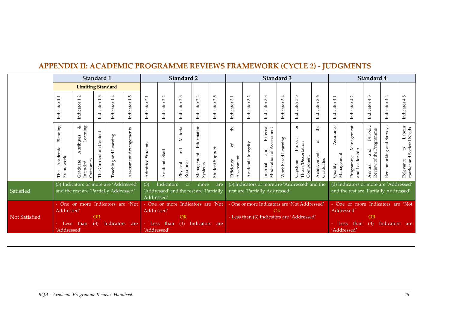<span id="page-46-0"></span>

|                                                                                                                                                    | Standard 1                                                       |                                                                                                                                                                                         |                              |                                                  |                         |                                                                                                                                                                      | Standard 2                         |                                                                                                         |                                      | Standard 3                            |                                           |                                                                                                                         |                                                           | Standard 4          |                                                              |                                                   |                                    |                                           |                                                             |                             |                                                                  |
|----------------------------------------------------------------------------------------------------------------------------------------------------|------------------------------------------------------------------|-----------------------------------------------------------------------------------------------------------------------------------------------------------------------------------------|------------------------------|--------------------------------------------------|-------------------------|----------------------------------------------------------------------------------------------------------------------------------------------------------------------|------------------------------------|---------------------------------------------------------------------------------------------------------|--------------------------------------|---------------------------------------|-------------------------------------------|-------------------------------------------------------------------------------------------------------------------------|-----------------------------------------------------------|---------------------|--------------------------------------------------------------|---------------------------------------------------|------------------------------------|-------------------------------------------|-------------------------------------------------------------|-----------------------------|------------------------------------------------------------------|
|                                                                                                                                                    |                                                                  | <b>Limiting Standard</b>                                                                                                                                                                |                              |                                                  |                         |                                                                                                                                                                      |                                    |                                                                                                         |                                      |                                       |                                           |                                                                                                                         |                                                           |                     |                                                              |                                                   |                                    |                                           |                                                             |                             |                                                                  |
|                                                                                                                                                    | $\overline{11}$<br>Indicator                                     | $\sim$<br>$\overline{ }$<br>Indicator                                                                                                                                                   | Indicator 1.3                | Indicator 1.4                                    | Indicator 1.5           | $\sim$<br>Indicator                                                                                                                                                  | $\sim$<br>Indicator <sub>2</sub> . | 2.3<br>Indicator                                                                                        | 4<br>$\overline{N}$<br>Indicator     | $\mathfrak{g}$<br>$\sim$<br>Indicator | 3.1<br>Indicator                          | Indicator 3.2                                                                                                           | 3.3<br>Indicator                                          | Indicator 3.4       | rU<br>$\omega$<br>Indicator                                  | 3.6<br>Indicator                                  | Indicator 4.1                      | 4.2<br>Indicator                          | Indicator 4.3                                               | 4.4<br>Indicator            | 5<br>4<br>Indicator                                              |
|                                                                                                                                                    | $\mathop{\rm Planning}\nolimits$<br>Academic<br>Framework<br>The | Learning<br>ঔ<br>Attributes<br>Outcomes<br>Graduate<br>Intended                                                                                                                         | Content<br>Curriculum<br>The | Learning<br>Teaching and                         | Assessment Arrangements | Students<br>Admitted                                                                                                                                                 | Academic Staff                     | Material<br>and<br>Resources<br>Physical                                                                | Information<br>Management<br>Systems | Student Support                       | £<br>$\sigma$<br>Assessment<br>Efficiency | Academic Integrity                                                                                                      | External<br>ssessment<br>and<br>Moderation of<br>Internal | Work based Learning | ð<br>Project<br>Thesis/Dissertation<br>Component<br>Capstone | He<br>$\mathfrak{b}$<br>Achievements<br>Graduates | Assurance<br>Management<br>Quality | Management<br>and Leadership<br>Programme | Periodic<br>rogramme<br>of the P<br>and<br>Annual<br>Review | Surveys<br>Benchmarking and | Labour<br>market and Societal Needs<br>$\mathbf{c}$<br>Relevance |
| Satisfied                                                                                                                                          |                                                                  | (3) Indicators or more are 'Addressed'<br>(3)<br>Indicators<br><sub>or</sub><br>more<br>and the rest are 'Partially Addressed'<br>'Addressed' and the rest are 'Partially<br>Addressed' |                              |                                                  | are                     | (3) Indicators or more are 'Addressed' and the<br>(3) Indicators or more are 'Addressed'<br>rest are 'Partially Addressed'<br>and the rest are 'Partially Addressed' |                                    |                                                                                                         |                                      |                                       |                                           |                                                                                                                         |                                                           |                     |                                                              |                                                   |                                    |                                           |                                                             |                             |                                                                  |
| - One or more Indicators are 'Not<br>Addressed'<br>Not Satisfied<br><b>OR</b><br>Indicators<br>than<br>(3)<br>Less<br>are<br>$\sim$<br>'Addressed' |                                                                  |                                                                                                                                                                                         | Addressed'<br>'Addressed'    | - One or more Indicators are 'Not<br>- Less than | <b>OR</b><br>(3)        | Indicators are                                                                                                                                                       |                                    | - One or more Indicators are 'Not Addressed'<br><b>OR</b><br>- Less than (3) Indicators are 'Addressed' |                                      |                                       |                                           | - One or more Indicators are 'Not<br>Addressed'<br>OR<br>(3)<br>Indicators are<br>Less<br>than<br>$\sim$<br>'Addressed' |                                                           |                     |                                                              |                                                   |                                    |                                           |                                                             |                             |                                                                  |

# **APPENDIX II: ACADEMIC PROGRAMME REVIEWS FRAMEWORK (CYCLE 2) - JUDGMENTS**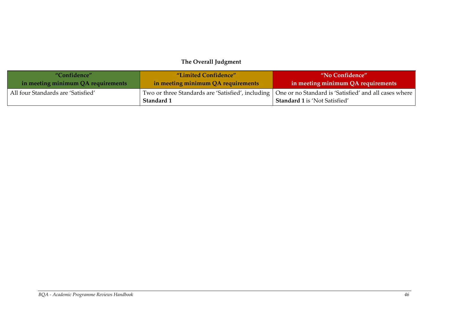# **The Overall Judgment**

| "Confidence"                       | "Limited Confidence"               | "No Confidence"                                                                                                                                     |
|------------------------------------|------------------------------------|-----------------------------------------------------------------------------------------------------------------------------------------------------|
| in meeting minimum QA requirements | in meeting minimum QA requirements | in meeting minimum QA requirements                                                                                                                  |
| All four Standards are 'Satisfied' | Standard 1                         | Two or three Standards are 'Satisfied', including   One or no Standard is 'Satisfied' and all cases where  <br><b>Standard 1</b> is 'Not Satisfied' |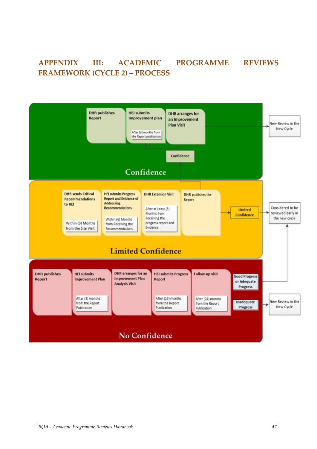# <span id="page-48-0"></span>**APPENDIX III: ACADEMIC PROGRAMME REVIEWS FRAMEWORK (CYCLE 2) – PROCESS**

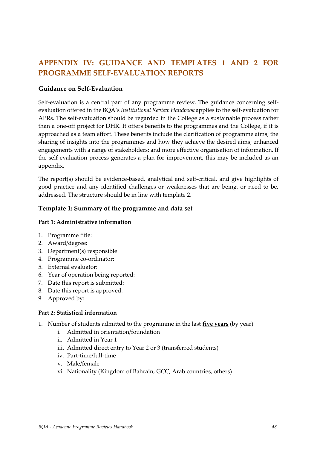# <span id="page-49-0"></span>**APPENDIX IV: GUIDANCE AND TEMPLATES 1 AND 2 FOR PROGRAMME SELF-EVALUATION REPORTS**

#### **Guidance on Self-Evaluation**

Self-evaluation is a central part of any programme review. The guidance concerning selfevaluation offered in the BQA's *Institutional Review Handbook* applies to the self-evaluation for APRs. The self-evaluation should be regarded in the College as a sustainable process rather than a one-off project for DHR. It offers benefits to the programmes and the College, if it is approached as a team effort. These benefits include the clarification of programme aims; the sharing of insights into the programmes and how they achieve the desired aims; enhanced engagements with a range of stakeholders; and more effective organisation of information. If the self-evaluation process generates a plan for improvement, this may be included as an appendix.

The report(s) should be evidence-based, analytical and self-critical, and give highlights of good practice and any identified challenges or weaknesses that are being, or need to be, addressed. The structure should be in line with template 2.

#### **Template 1: Summary of the programme and data set**

#### **Part 1: Administrative information**

- 1. Programme title:
- 2. Award/degree:
- 3. Department(s) responsible:
- 4. Programme co-ordinator:
- 5. External evaluator:
- 6. Year of operation being reported:
- 7. Date this report is submitted:
- 8. Date this report is approved:
- 9. Approved by:

#### **Part 2: Statistical information**

- 1. Number of students admitted to the programme in the last **five years** (by year)
	- i. Admitted in orientation/foundation
	- ii. Admitted in Year 1
	- iii. Admitted direct entry to Year 2 or 3 (transferred students)
	- iv. Part-time/full-time
	- v. Male/female
	- vi. Nationality (Kingdom of Bahrain, GCC, Arab countries, others)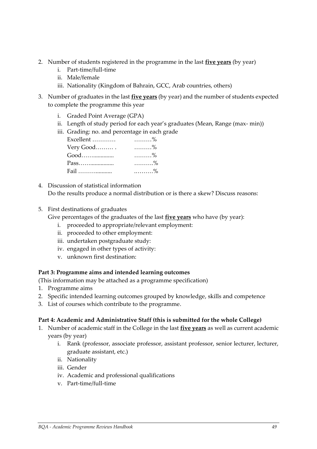- 2. Number of students registered in the programme in the last **five years** (by year)
	- i. Part-time/full-time
	- ii. Male/female
	- iii. Nationality (Kingdom of Bahrain, GCC, Arab countries, others)
- 3. Number of graduates in the last **five years** (by year) and the number of students expected to complete the programme this year
	- i. Graded Point Average (GPA)
	- ii. Length of study period for each year's graduates (Mean, Range (max- min))
	- iii. Grading: no. and percentage in each grade

| Excellent | $\ldots \ldots \frac{9}{6}$ |
|-----------|-----------------------------|
| Very Good | $\ldots \ldots \ldots \%$   |
| Good      | $\ldots \ldots \frac{9}{6}$ |
|           | . %                         |
| Fail      | $\ldots \ldots \ldots \%$   |

- 4. Discussion of statistical information Do the results produce a normal distribution or is there a skew? Discuss reasons:
- 5. First destinations of graduates

Give percentages of the graduates of the last **five years** who have (by year):

- i. proceeded to appropriate/relevant employment:
- ii. proceeded to other employment:
- iii. undertaken postgraduate study:
- iv. engaged in other types of activity:
- v. unknown first destination:

#### **Part 3: Programme aims and intended learning outcomes**

(This information may be attached as a programme specification)

- 1. Programme aims
- 2. Specific intended learning outcomes grouped by knowledge, skills and competence
- 3. List of courses which contribute to the programme.

#### **Part 4: Academic and Administrative Staff (this is submitted for the whole College)**

- 1. Number of academic staff in the College in the last **five years** as well as current academic years (by year)
	- i. Rank (professor, associate professor, assistant professor, senior lecturer, lecturer, graduate assistant, etc.)
	- ii. Nationality
	- iii. Gender
	- iv. Academic and professional qualifications
	- v. Part-time/full-time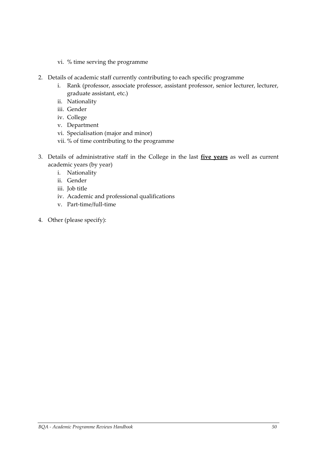- vi. % time serving the programme
- 2. Details of academic staff currently contributing to each specific programme
	- i. Rank (professor, associate professor, assistant professor, senior lecturer, lecturer, graduate assistant, etc.)
	- ii. Nationality
	- iii. Gender
	- iv. College
	- v. Department
	- vi. Specialisation (major and minor)
	- vii. % of time contributing to the programme
- 3. Details of administrative staff in the College in the last **five years** as well as current academic years (by year)
	- i. Nationality
	- ii. Gender
	- iii. Job title
	- iv. Academic and professional qualifications
	- v. Part-time/full-time
- 4. Other (please specify):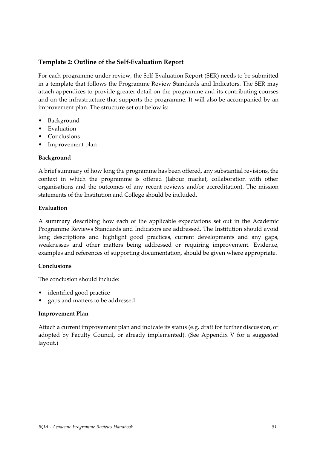#### **Template 2: Outline of the Self-Evaluation Report**

For each programme under review, the Self-Evaluation Report (SER) needs to be submitted in a template that follows the Programme Review Standards and Indicators. The SER may attach appendices to provide greater detail on the programme and its contributing courses and on the infrastructure that supports the programme. It will also be accompanied by an improvement plan. The structure set out below is:

- Background
- Evaluation
- Conclusions
- Improvement plan

#### **Background**

A brief summary of how long the programme has been offered, any substantial revisions, the context in which the programme is offered (labour market, collaboration with other organisations and the outcomes of any recent reviews and/or accreditation). The mission statements of the Institution and College should be included.

#### **Evaluation**

A summary describing how each of the applicable expectations set out in the Academic Programme Reviews Standards and Indicators are addressed. The Institution should avoid long descriptions and highlight good practices, current developments and any gaps, weaknesses and other matters being addressed or requiring improvement. Evidence, examples and references of supporting documentation, should be given where appropriate.

#### **Conclusions**

The conclusion should include:

- identified good practice
- gaps and matters to be addressed.

#### **Improvement Plan**

Attach a current improvement plan and indicate its status (e.g. draft for further discussion, or adopted by Faculty Council, or already implemented). (See Appendix V for a suggested layout.)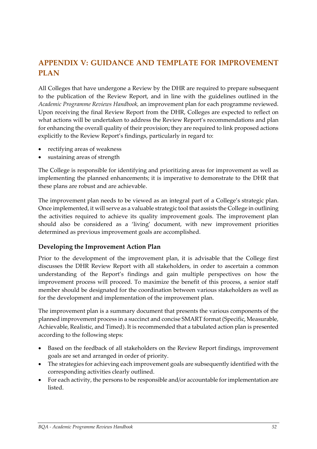# <span id="page-53-0"></span>**APPENDIX V: GUIDANCE AND TEMPLATE FOR IMPROVEMENT PLAN**

All Colleges that have undergone a Review by the DHR are required to prepare subsequent to the publication of the Review Report, and in line with the guidelines outlined in the *Academic Programme Reviews Handbook,* an improvement plan for each programme reviewed. Upon receiving the final Review Report from the DHR, Colleges are expected to reflect on what actions will be undertaken to address the Review Report's recommendations and plan for enhancing the overall quality of their provision; they are required to link proposed actions explicitly to the Review Report's findings, particularly in regard to:

- rectifying areas of weakness
- sustaining areas of strength

The College is responsible for identifying and prioritizing areas for improvement as well as implementing the planned enhancements; it is imperative to demonstrate to the DHR that these plans are robust and are achievable.

The improvement plan needs to be viewed as an integral part of a College's strategic plan. Once implemented, it will serve as a valuable strategic tool that assists the College in outlining the activities required to achieve its quality improvement goals. The improvement plan should also be considered as a 'living' document, with new improvement priorities determined as previous improvement goals are accomplished.

#### **Developing the Improvement Action Plan**

Prior to the development of the improvement plan, it is advisable that the College first discusses the DHR Review Report with all stakeholders, in order to ascertain a common understanding of the Report's findings and gain multiple perspectives on how the improvement process will proceed. To maximize the benefit of this process, a senior staff member should be designated for the coordination between various stakeholders as well as for the development and implementation of the improvement plan.

The improvement plan is a summary document that presents the various components of the planned improvement process in a succinct and concise SMART format (Specific, Measurable, Achievable, Realistic, and Timed). It is recommended that a tabulated action plan is presented according to the following steps:

- Based on the feedback of all stakeholders on the Review Report findings, improvement goals are set and arranged in order of priority.
- The strategies for achieving each improvement goals are subsequently identified with the corresponding activities clearly outlined.
- For each activity, the persons to be responsible and/or accountable for implementation are listed.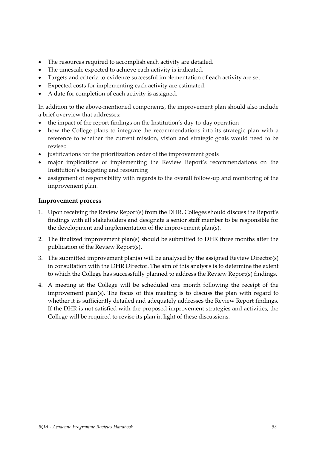- The resources required to accomplish each activity are detailed.
- The timescale expected to achieve each activity is indicated.
- Targets and criteria to evidence successful implementation of each activity are set.
- Expected costs for implementing each activity are estimated.
- A date for completion of each activity is assigned.

In addition to the above-mentioned components, the improvement plan should also include a brief overview that addresses:

- the impact of the report findings on the Institution's day-to-day operation
- how the College plans to integrate the recommendations into its strategic plan with a reference to whether the current mission, vision and strategic goals would need to be revised
- justifications for the prioritization order of the improvement goals
- major implications of implementing the Review Report's recommendations on the Institution's budgeting and resourcing
- assignment of responsibility with regards to the overall follow-up and monitoring of the improvement plan.

#### **Improvement process**

- 1. Upon receiving the Review Report(s) from the DHR, Colleges should discuss the Report's findings with all stakeholders and designate a senior staff member to be responsible for the development and implementation of the improvement plan(s).
- 2. The finalized improvement plan(s) should be submitted to DHR three months after the publication of the Review Report(s).
- 3. The submitted improvement plan(s) will be analysed by the assigned Review Director(s) in consultation with the DHR Director. The aim of this analysis is to determine the extent to which the College has successfully planned to address the Review Report(s) findings.
- 4. A meeting at the College will be scheduled one month following the receipt of the improvement plan(s). The focus of this meeting is to discuss the plan with regard to whether it is sufficiently detailed and adequately addresses the Review Report findings. If the DHR is not satisfied with the proposed improvement strategies and activities, the College will be required to revise its plan in light of these discussions.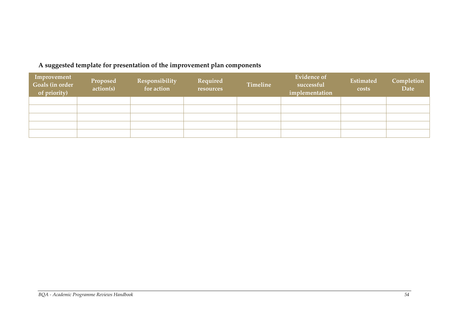# **A suggested template for presentation of the improvement plan components**

| Improvement<br>Goals (in order<br>of priority) | Proposed<br>action(s) | <b>Responsibility</b><br>for action | Required<br>resources | <b>Timeline</b> | <b>Evidence of</b><br>successful<br>implementation | Estimated<br>costs | Completion<br><b>Date</b> |
|------------------------------------------------|-----------------------|-------------------------------------|-----------------------|-----------------|----------------------------------------------------|--------------------|---------------------------|
|                                                |                       |                                     |                       |                 |                                                    |                    |                           |
|                                                |                       |                                     |                       |                 |                                                    |                    |                           |
|                                                |                       |                                     |                       |                 |                                                    |                    |                           |
|                                                |                       |                                     |                       |                 |                                                    |                    |                           |
|                                                |                       |                                     |                       |                 |                                                    |                    |                           |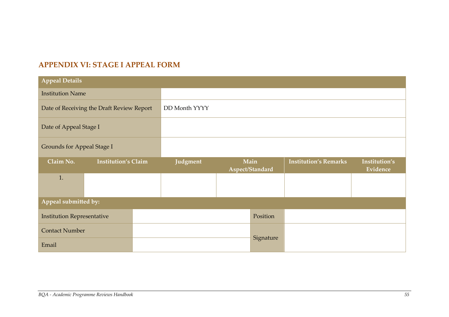# **APPENDIX VI: STAGE I APPEAL FORM**

<span id="page-56-0"></span>

| <b>Appeal Details</b>             |                                           |  |               |           |                         |                              |                           |  |  |  |
|-----------------------------------|-------------------------------------------|--|---------------|-----------|-------------------------|------------------------------|---------------------------|--|--|--|
| <b>Institution Name</b>           |                                           |  |               |           |                         |                              |                           |  |  |  |
|                                   | Date of Receiving the Draft Review Report |  | DD Month YYYY |           |                         |                              |                           |  |  |  |
| Date of Appeal Stage I            |                                           |  |               |           |                         |                              |                           |  |  |  |
| <b>Grounds for Appeal Stage I</b> |                                           |  |               |           |                         |                              |                           |  |  |  |
| Claim No.                         | <b>Institution's Claim</b>                |  | Judgment      |           | Main<br>Aspect/Standard | <b>Institution's Remarks</b> | Institution's<br>Evidence |  |  |  |
| 1.                                |                                           |  |               |           |                         |                              |                           |  |  |  |
| Appeal submitted by:              |                                           |  |               |           |                         |                              |                           |  |  |  |
| <b>Institution Representative</b> |                                           |  |               | Position  |                         |                              |                           |  |  |  |
| <b>Contact Number</b>             |                                           |  |               |           |                         |                              |                           |  |  |  |
| Email                             |                                           |  |               | Signature |                         |                              |                           |  |  |  |